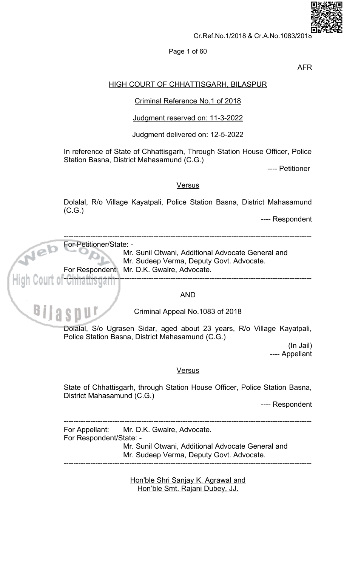

## Page 1 of 60

**AFR** 

# **HIGH COURT OF CHHATTISGARH, BILASPUR**

# Criminal Reference No.1 of 2018

# Judgment reserved on: 11-3-2022

# Judgment delivered on: 12-5-2022

In reference of State of Chhattisgarh, Through Station House Officer, Police Station Basna, District Mahasamund (C.G.)

---- Petitioner

## **Versus**

Dolalal, R/o Village Kayatpali, Police Station Basna, District Mahasamund  $(C.G.)$ 

---- Respondent



---- Respondent

For Appellant: Mr. D.K. Gwalre, Advocate. For Respondent/State: -Mr. Sunil Otwani, Additional Advocate General and Mr. Sudeep Verma, Deputy Govt. Advocate.

> Hon'ble Shri Sanjay K. Agrawal and Hon'ble Smt. Rajani Dubey, JJ.

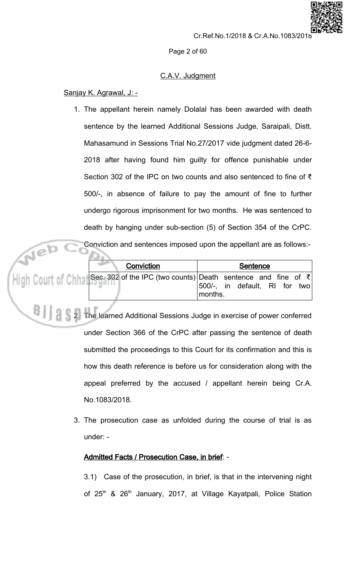Page 2 of 60

# C.A.V. Judgment

Sanjay K. Agrawal, J: -

1. The appellant herein namely Dolalal has been awarded with death sentence by the learned Additional Sessions Judge, Saraipali, Distt. Mahasamund in Sessions Trial No.27/2017 vide judgment dated 26-6-2018 after having found him guilty for offence punishable under Section 302 of the IPC on two counts and also sentenced to fine of  $\bar{\tau}$ 500/-, in absence of failure to pay the amount of fine to further undergo rigorous imprisonment for two months. He was sentenced to death by hanging under sub-section (5) of Section 354 of the CrPC. Conviction and sentences imposed upon the appellant are as follows:-

|            | Conviction and sentences imposed upon the appellant are as follows:-                                                                                            |
|------------|-----------------------------------------------------------------------------------------------------------------------------------------------------------------|
| Conviction | Sentence                                                                                                                                                        |
|            | $\left[\frac{1}{2}\right]$ Court of Chinal Sec. 302 of the IPC (two counts) Death sentence and fine of $\bar{\tau}$<br>500/-, in default, RI for two<br>months. |

2. The learned Additional Sessions Judge in exercise of power conferred under Section 366 of the CrPC after passing the sentence of death submitted the proceedings to this Court for its confirmation and this is how this death reference is before us for consideration along with the appeal preferred by the accused / appellant herein being Cr.A. No.1083/2018.

3. The prosecution case as unfolded during the course of trial is as under: -

# Admitted Facts / Prosecution Case, in brief: -

3.1) Case of the prosecution, in brief, is that in the intervening night of 25<sup>th</sup> & 26<sup>th</sup> January, 2017, at Village Kayatpali, Police Station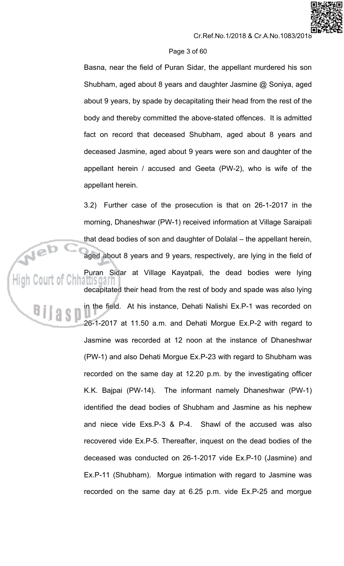#### Page 3 of 60

Basna, near the field of Puran Sidar, the appellant murdered his son Shubham, aged about 8 years and daughter Jasmine @ Soniya, aged about 9 years, by spade by decapitating their head from the rest of the body and thereby committed the above-stated offences. It is admitted fact on record that deceased Shubham, aged about 8 years and deceased Jasmine, aged about 9 years were son and daughter of the appellant herein / accused and Geeta (PW-2), who is wife of the appellant herein.

3.2) Further case of the prosecution is that on 26-1-2017 in the morning, Dhaneshwar (PW-1) received information at Village Saraipali that dead bodies of son and daughter of Dolalal - the appellant herein, aged about 8 years and 9 years, respectively, are lying in the field of Puran Sidar at Village Kayatpali, the dead bodies were lying decapitated their head from the rest of body and spade was also lying in the field. At his instance, Dehati Nalishi Ex.P-1 was recorded on 26-1-2017 at 11.50 a.m. and Dehati Morgue Ex.P-2 with regard to Jasmine was recorded at 12 noon at the instance of Dhaneshwar (PW-1) and also Dehati Morgue Ex.P-23 with regard to Shubham was recorded on the same day at 12.20 p.m. by the investigating officer K.K. Bajpai (PW-14). The informant namely Dhaneshwar (PW-1) identified the dead bodies of Shubham and Jasmine as his nephew Shawl of the accused was also and niece vide Exs.P-3 & P-4. recovered vide Ex.P-5. Thereafter, inquest on the dead bodies of the deceased was conducted on 26-1-2017 vide Ex.P-10 (Jasmine) and Ex.P-11 (Shubham). Morgue intimation with regard to Jasmine was recorded on the same day at 6.25 p.m. vide Ex.P-25 and morgue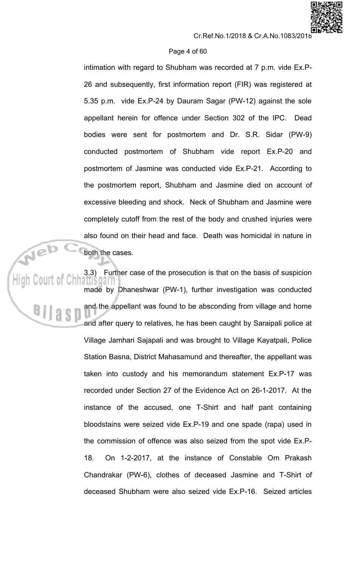## Page 4 of 60

intimation with regard to Shubham was recorded at 7 p.m. vide Ex.P-26 and subsequently, first information report (FIR) was registered at 5.35 p.m. vide Ex.P-24 by Dauram Sagar (PW-12) against the sole appellant herein for offence under Section 302 of the IPC. Dead bodies were sent for postmortem and Dr. S.R. Sidar (PW-9) conducted postmortem of Shubham vide report Ex.P-20 and postmortem of Jasmine was conducted vide Ex.P-21. According to the postmortem report, Shubham and Jasmine died on account of excessive bleeding and shock. Neck of Shubham and Jasmine were completely cutoff from the rest of the body and crushed injuries were also found on their head and face. Death was homicidal in nature in both the cases.

Further case of the prosecution is that on the basis of suspicion  $3.3)$ made by Dhaneshwar (PW-1), further investigation was conducted and the appellant was found to be absconding from village and home and after query to relatives, he has been caught by Saraipali police at Village Jamhari Sajapali and was brought to Village Kayatpali, Police Station Basna, District Mahasamund and thereafter, the appellant was taken into custody and his memorandum statement Ex.P-17 was recorded under Section 27 of the Evidence Act on 26-1-2017. At the instance of the accused, one T-Shirt and half pant containing bloodstains were seized vide Ex.P-19 and one spade (rapa) used in the commission of offence was also seized from the spot vide Ex.P-18. On 1-2-2017, at the instance of Constable Om Prakash Chandrakar (PW-6), clothes of deceased Jasmine and T-Shirt of deceased Shubham were also seized vide Ex.P-16. Seized articles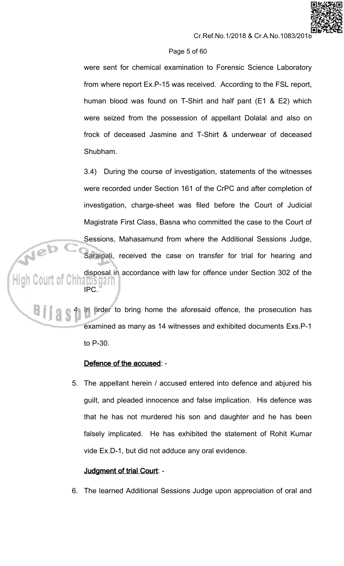# Page 5 of 60

were sent for chemical examination to Forensic Science Laboratory from where report Ex.P-15 was received. According to the FSL report, human blood was found on T-Shirt and half pant (E1 & E2) which were seized from the possession of appellant Dolalal and also on frock of deceased Jasmine and T-Shirt & underwear of deceased Shubham.

 $3.4)$ During the course of investigation, statements of the witnesses were recorded under Section 161 of the CrPC and after completion of investigation, charge-sheet was filed before the Court of Judicial Magistrate First Class, Basna who committed the case to the Court of Sessions, Mahasamund from where the Additional Sessions Judge, Saraipali, received the case on transfer for trial for hearing and disposal in accordance with law for offence under Section 302 of the aubyan **IPC** 

In order to bring home the aforesaid offence, the prosecution has examined as many as 14 witnesses and exhibited documents Exs.P-1 to  $P-30$ .

# Defence of the accused: -

5. The appellant herein / accused entered into defence and abjured his guilt, and pleaded innocence and false implication. His defence was that he has not murdered his son and daughter and he has been falsely implicated. He has exhibited the statement of Rohit Kumar vide Ex.D-1, but did not adduce any oral evidence.

# Judgment of trial Court: -

6. The learned Additional Sessions Judge upon appreciation of oral and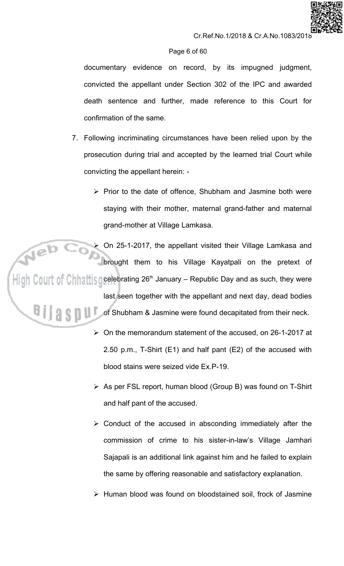## Page 6 of 60

documentary evidence on record, by its impugned judgment, convicted the appellant under Section 302 of the IPC and awarded death sentence and further, made reference to this Court for confirmation of the same.

- 7. Following incriminating circumstances have been relied upon by the prosecution during trial and accepted by the learned trial Court while convicting the appellant herein: -
	- > Prior to the date of offence, Shubham and Jasmine both were staying with their mother, maternal grand-father and maternal grand-mother at Village Lamkasa.

On 25-1-2017, the appellant visited their Village Lamkasa and brought them to his Village Kayatpali on the pretext of High Court of Chhattis gelebrating 26<sup>th</sup> January – Republic Day and as such, they were last seen together with the appellant and next day, dead bodies of Shubham & Jasmine were found decapitated from their neck.

- > On the memorandum statement of the accused, on 26-1-2017 at 2.50 p.m., T-Shirt (E1) and half pant (E2) of the accused with blood stains were seized vide Fx P-19
- > As per FSL report, human blood (Group B) was found on T-Shirt and half pant of the accused.
- $\triangleright$  Conduct of the accused in absconding immediately after the commission of crime to his sister-in-law's Village Jamhari Sajapali is an additional link against him and he failed to explain the same by offering reasonable and satisfactory explanation.
- > Human blood was found on bloodstained soil, frock of Jasmine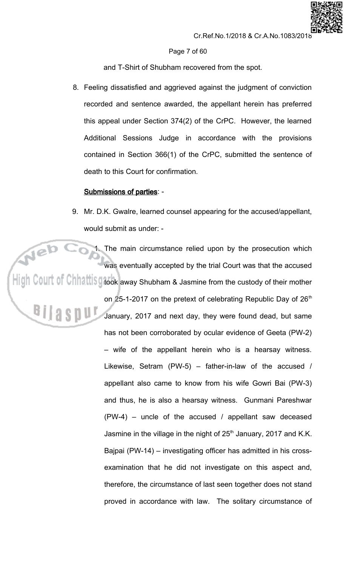## Page 7 of 60

and T-Shirt of Shubham recovered from the spot.

8. Feeling dissatisfied and aggrieved against the judgment of conviction recorded and sentence awarded, the appellant herein has preferred this appeal under Section 374(2) of the CrPC. However, the learned Additional Sessions Judge in accordance with the provisions contained in Section 366(1) of the CrPC, submitted the sentence of death to this Court for confirmation.

# **Submissions of parties: -**

9. Mr. D.K. Gwalre, learned counsel appearing for the accused/appellant, would submit as under: -

1. The main circumstance relied upon by the prosecution which was eventually accepted by the trial Court was that the accused  $\overline{\phantom{a}}$ High Court of Chhattis grook away Shubham & Jasmine from the custody of their mother on 25-1-2017 on the pretext of celebrating Republic Day of 26th January, 2017 and next day, they were found dead, but same has not been corroborated by ocular evidence of Geeta (PW-2) - wife of the appellant herein who is a hearsay witness. Likewise, Setram (PW-5) - father-in-law of the accused / appellant also came to know from his wife Gowri Bai (PW-3) and thus, he is also a hearsay witness. Gunmani Pareshwar  $(PW-4)$  – uncle of the accused / appellant saw deceased Jasmine in the village in the night of 25<sup>th</sup> January, 2017 and K.K. Bajpai (PW-14) – investigating officer has admitted in his crossexamination that he did not investigate on this aspect and, therefore, the circumstance of last seen together does not stand proved in accordance with law. The solitary circumstance of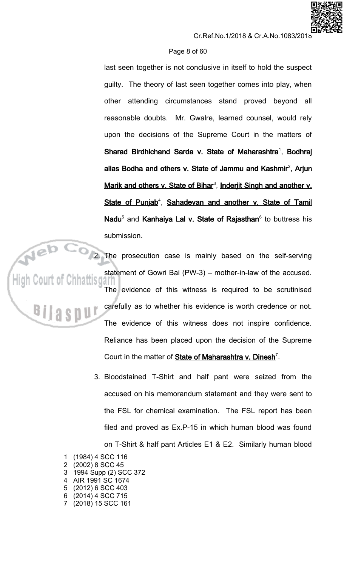## Page 8 of 60

last seen together is not conclusive in itself to hold the suspect guilty. The theory of last seen together comes into play, when other attending circumstances stand proved beyond all reasonable doubts. Mr. Gwalre, learned counsel, would rely upon the decisions of the Supreme Court in the matters of Sharad Birdhichand Sarda v. State of Maharashtra<sup>1</sup>, Bodhraj alias Bodha and others v. State of Jammu and Kashmir<sup>2</sup>, Arjun Marik and others v. State of Bihar<sup>3</sup>, Inderjit Singh and another v. State of Punjab<sup>4</sup>, Sahadevan and another v. State of Tamil Nadu<sup>5</sup> and Kanhaiya Lal v. State of Rajasthan<sup>6</sup> to buttress his submission.

The prosecution case is mainly based on the self-serving statement of Gowri Bai (PW-3) - mother-in-law of the accused. The evidence of this witness is required to be scrutinised carefully as to whether his evidence is worth credence or not. The evidence of this witness does not inspire confidence. Reliance has been placed upon the decision of the Supreme Court in the matter of State of Maharashtra v. Dinesh<sup>7</sup>.

- 3. Bloodstained T-Shirt and half pant were seized from the accused on his memorandum statement and they were sent to the FSL for chemical examination. The FSL report has been filed and proved as Ex.P-15 in which human blood was found on T-Shirt & half pant Articles E1 & E2. Similarly human blood
- (1984) 4 SCC 116  $\mathbf 1$ (2002) 8 SCC 45  $\overline{2}$ 1994 Supp (2) SCC 372 3  $\blacktriangle$ AIR 1991 SC 1674 (2012) 6 SCC 403 5 (2014) 4 SCC 715 6 7 (2018) 15 SCC 161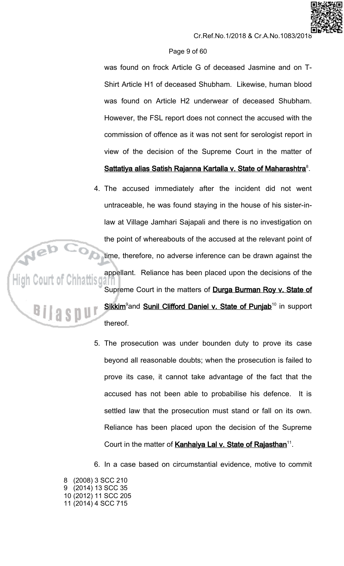# Page 9 of 60

was found on frock Article G of deceased Jasmine and on T-Shirt Article H1 of deceased Shubham. Likewise, human blood was found on Article H2 underwear of deceased Shubham. However, the FSL report does not connect the accused with the commission of offence as it was not sent for serologist report in view of the decision of the Supreme Court in the matter of Sattatiya alias Satish Rajanna Kartalla v. State of Maharashtra<sup>8</sup>.

- 4. The accused immediately after the incident did not went untraceable, he was found staying in the house of his sister-inlaw at Village Jamhari Sajapali and there is no investigation on the point of whereabouts of the accused at the relevant point of time, therefore, no adverse inference can be drawn against the appellant. Reliance has been placed upon the decisions of the Supreme Court in the matters of Durga Burman Roy v. State of Sikkim<sup>9</sup>and Sunil Clifford Daniel v. State of Punjab<sup>10</sup> in support thereof.
	- 5. The prosecution was under bounden duty to prove its case beyond all reasonable doubts; when the prosecution is failed to prove its case, it cannot take advantage of the fact that the accused has not been able to probabilise his defence. It is settled law that the prosecution must stand or fall on its own. Reliance has been placed upon the decision of the Supreme Court in the matter of Kanhaiya Lal v. State of Rajasthan<sup>11</sup>.
	- 6. In a case based on circumstantial evidence, motive to commit

8 (2008) 3 SCC 210 9 (2014) 13 SCC 35 10 (2012) 11 SCC 205 11 (2014) 4 SCC 715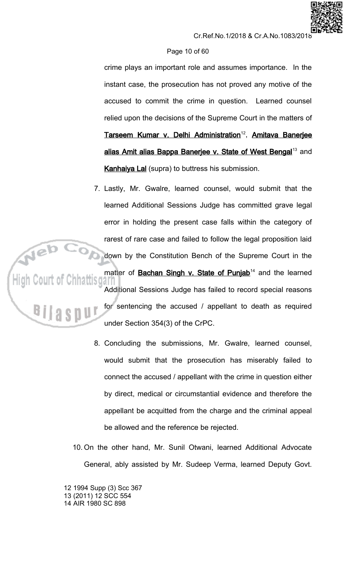# Page 10 of 60

crime plays an important role and assumes importance. In the instant case, the prosecution has not proved any motive of the accused to commit the crime in question. Learned counsel relied upon the decisions of the Supreme Court in the matters of Tarseem Kumar v. Delhi Administration<sup>12</sup>, Amitava Baneriee alias Amit alias Bappa Banerjee v. State of West Bengal<sup>13</sup> and **Kanhaiya Lal** (supra) to buttress his submission.

- 7. Lastly, Mr. Gwalre, learned counsel, would submit that the learned Additional Sessions Judge has committed grave legal error in holding the present case falls within the category of rarest of rare case and failed to follow the legal proposition laid down by the Constitution Bench of the Supreme Court in the matter of **Bachan Singh v. State of Punjab**<sup>14</sup> and the learned Additional Sessions Judge has failed to record special reasons for sentencing the accused / appellant to death as required under Section 354(3) of the CrPC.
	- 8. Concluding the submissions, Mr. Gwalre, learned counsel, would submit that the prosecution has miserably failed to connect the accused / appellant with the crime in question either by direct, medical or circumstantial evidence and therefore the appellant be acquitted from the charge and the criminal appeal be allowed and the reference be rejected.
- 10. On the other hand, Mr. Sunil Otwani, learned Additional Advocate General, ably assisted by Mr. Sudeep Verma, learned Deputy Govt.

12 1994 Supp (3) Scc 367 13 (2011) 12 SCC 554 14 AIR 1980 SC 898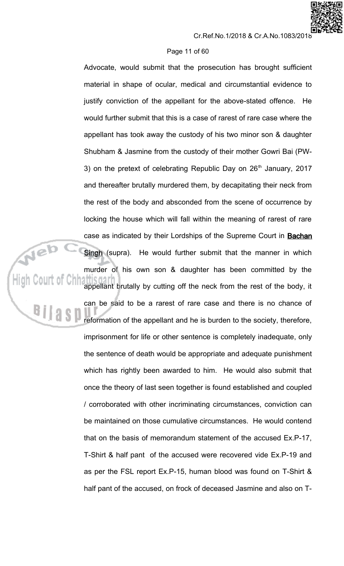## Page 11 of 60

Advocate, would submit that the prosecution has brought sufficient material in shape of ocular, medical and circumstantial evidence to justify conviction of the appellant for the above-stated offence. He would further submit that this is a case of rarest of rare case where the appellant has took away the custody of his two minor son & daughter Shubham & Jasmine from the custody of their mother Gowri Bai (PW-3) on the pretext of celebrating Republic Day on 26<sup>th</sup> January, 2017 and thereafter brutally murdered them, by decapitating their neck from the rest of the body and absconded from the scene of occurrence by locking the house which will fall within the meaning of rarest of rare case as indicated by their Lordships of the Supreme Court in Bachan Singh (supra). He would further submit that the manner in which murder of his own son & daughter has been committed by the appellant brutally by cutting off the neck from the rest of the body, it can be said to be a rarest of rare case and there is no chance of reformation of the appellant and he is burden to the society, therefore, imprisonment for life or other sentence is completely inadequate, only the sentence of death would be appropriate and adequate punishment which has rightly been awarded to him. He would also submit that once the theory of last seen together is found established and coupled / corroborated with other incriminating circumstances, conviction can be maintained on those cumulative circumstances. He would contend that on the basis of memorandum statement of the accused Ex.P-17, T-Shirt & half pant of the accused were recovered vide Ex.P-19 and as per the FSL report Ex.P-15, human blood was found on T-Shirt & half pant of the accused, on frock of deceased Jasmine and also on T-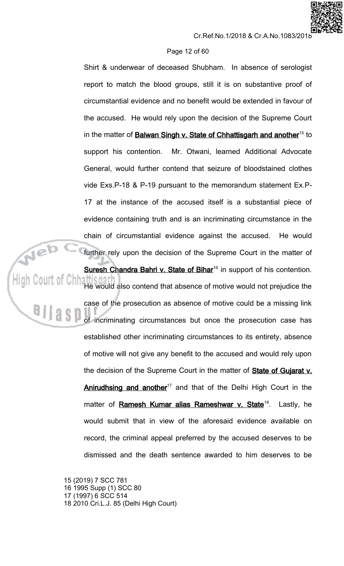# Page 12 of 60

Shirt & underwear of deceased Shubham. In absence of serologist report to match the blood groups, still it is on substantive proof of circumstantial evidence and no benefit would be extended in favour of the accused. He would rely upon the decision of the Supreme Court in the matter of Balwan Singh v. State of Chhattisgarh and another<sup>15</sup> to Mr. Otwani, learned Additional Advocate support his contention. General, would further contend that seizure of bloodstained clothes vide Exs.P-18 & P-19 pursuant to the memorandum statement Ex.P-17 at the instance of the accused itself is a substantial piece of evidence containing truth and is an incriminating circumstance in the chain of circumstantial evidence against the accused. He would further rely upon the decision of the Supreme Court in the matter of

Suresh Chandra Bahri v. State of Bihar<sup>16</sup> in support of his contention.

He would also contend that absence of motive would not prejudice the case of the prosecution as absence of motive could be a missing link of incriminating circumstances but once the prosecution case has established other incriminating circumstances to its entirety, absence of motive will not give any benefit to the accused and would rely upon the decision of the Supreme Court in the matter of **State of Gujarat v.** Anirudhsing and another<sup>17</sup> and that of the Delhi High Court in the matter of Ramesh Kumar alias Rameshwar v. State<sup>18</sup>. Lastly, he would submit that in view of the aforesaid evidence available on record, the criminal appeal preferred by the accused deserves to be dismissed and the death sentence awarded to him deserves to be

15 (2019) 7 SCC 781 16 1995 Supp (1) SCC 80 17 (1997) 6 SCC 514 18 2010 Cri.L.J. 85 (Delhi High Court)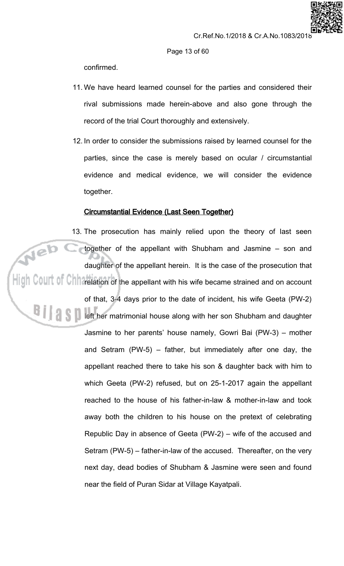

confirmed.

- 11. We have heard learned counsel for the parties and considered their rival submissions made herein-above and also gone through the record of the trial Court thoroughly and extensively.
- 12. In order to consider the submissions raised by learned counsel for the parties, since the case is merely based on ocular / circumstantial evidence and medical evidence, we will consider the evidence together.

# **Circumstantial Evidence (Last Seen Together)**

13. The prosecution has mainly relied upon the theory of last seen Web c together of the appellant with Shubham and Jasmine - son and daughter of the appellant herein. It is the case of the prosecution that  $\frac{1}{\|x\|}$  C0UIT of Chit $\alpha$  relation of the appellant with his wife became strained and on account of that, 3-4 days prior to the date of incident, his wife Geeta (PW-2) **All States I left her matrimonial house along with her son Shubham and daughter** Jasmine to her parents' house namely, Gowri Bai (PW-3) - mother and Setram (PW-5) – father, but immediately after one day, the appellant reached there to take his son & daughter back with him to which Geeta (PW-2) refused, but on 25-1-2017 again the appellant reached to the house of his father-in-law & mother-in-law and took away both the children to his house on the pretext of celebrating Republic Day in absence of Geeta (PW-2) – wife of the accused and Setram (PW-5) – father-in-law of the accused. Thereafter, on the very next day, dead bodies of Shubham & Jasmine were seen and found near the field of Puran Sidar at Village Kayatpali.

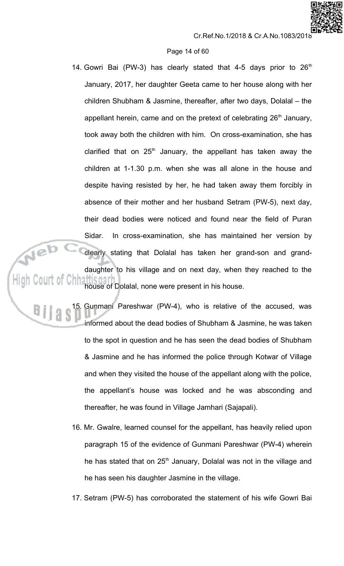# Page 14 of 60

14. Gowri Bai (PW-3) has clearly stated that 4-5 days prior to 26<sup>th</sup> January, 2017, her daughter Geeta came to her house along with her children Shubham & Jasmine, thereafter, after two days, Dolalal - the appellant herein, came and on the pretext of celebrating 26<sup>th</sup> January, took away both the children with him. On cross-examination, she has clarified that on  $25<sup>th</sup>$  January, the appellant has taken away the children at 1-1.30 p.m. when she was all alone in the house and despite having resisted by her, he had taken away them forcibly in absence of their mother and her husband Setram (PW-5), next day, their dead bodies were noticed and found near the field of Puran In cross-examination, she has maintained her version by Sidar. Neb clearly stating that Dolalal has taken her grand-son and granddaughter to his village and on next day, when they reached to the High Court of Chh house of Dolalal, none were present in his house.

> Gunmani Pareshwar (PW-4), who is relative of the accused, was informed about the dead bodies of Shubham & Jasmine, he was taken to the spot in question and he has seen the dead bodies of Shubham & Jasmine and he has informed the police through Kotwar of Village and when they visited the house of the appellant along with the police, the appellant's house was locked and he was absconding and thereafter, he was found in Village Jamhari (Sajapali).

- 16. Mr. Gwalre, learned counsel for the appellant, has heavily relied upon paragraph 15 of the evidence of Gunmani Pareshwar (PW-4) wherein he has stated that on 25<sup>th</sup> January, Dolalal was not in the village and he has seen his daughter Jasmine in the village.
- 17. Setram (PW-5) has corroborated the statement of his wife Gowri Bai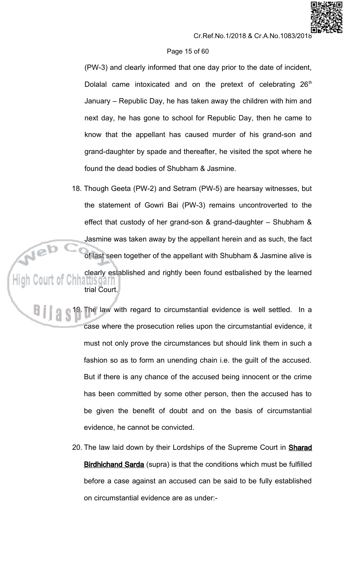# Page 15 of 60

(PW-3) and clearly informed that one day prior to the date of incident, Dolalal came intoxicated and on the pretext of celebrating 26<sup>th</sup> January – Republic Day, he has taken away the children with him and next day, he has gone to school for Republic Day, then he came to know that the appellant has caused murder of his grand-son and grand-daughter by spade and thereafter, he visited the spot where he found the dead bodies of Shubham & Jasmine.

- 18. Though Geeta (PW-2) and Setram (PW-5) are hearsay witnesses, but the statement of Gowri Bai (PW-3) remains uncontroverted to the effect that custody of her grand-son & grand-daughter  $-$  Shubham & Jasmine was taken away by the appellant herein and as such, the fact of last seen together of the appellant with Shubham & Jasmine alive is clearly established and rightly been found estbalished by the learned trial Court.
- 19. The law with regard to circumstantial evidence is well settled. In a case where the prosecution relies upon the circumstantial evidence, it must not only prove the circumstances but should link them in such a fashion so as to form an unending chain i.e. the guilt of the accused. But if there is any chance of the accused being innocent or the crime has been committed by some other person, then the accused has to be given the benefit of doubt and on the basis of circumstantial evidence, he cannot be convicted.
	- 20. The law laid down by their Lordships of the Supreme Court in **Sharad** Birdhichand Sarda (supra) is that the conditions which must be fulfilled before a case against an accused can be said to be fully established on circumstantial evidence are as under:-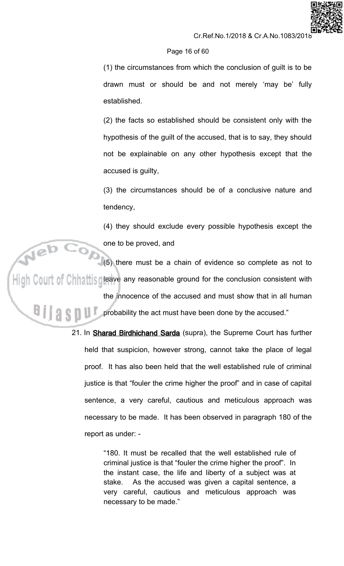# Page 16 of 60

(1) the circumstances from which the conclusion of guilt is to be drawn must or should be and not merely 'may be' fully established.

(2) the facts so established should be consistent only with the hypothesis of the guilt of the accused, that is to say, they should not be explainable on any other hypothesis except that the accused is guilty,

(3) the circumstances should be of a conclusive nature and tendency,

(4) they should exclude every possible hypothesis except the one to be proved, and

(5) there must be a chain of evidence so complete as not to High Court of Chhattis gleave any reasonable ground for the conclusion consistent with the innocence of the accused and must show that in all human probability the act must have been done by the accused."

> 21. In Sharad Birdhichand Sarda (supra), the Supreme Court has further held that suspicion, however strong, cannot take the place of legal proof. It has also been held that the well established rule of criminal justice is that "fouler the crime higher the proof" and in case of capital sentence, a very careful, cautious and meticulous approach was necessary to be made. It has been observed in paragraph 180 of the report as under: -

> > "180. It must be recalled that the well established rule of criminal justice is that "fouler the crime higher the proof". In the instant case, the life and liberty of a subject was at As the accused was given a capital sentence, a stake. very careful, cautious and meticulous approach was necessary to be made."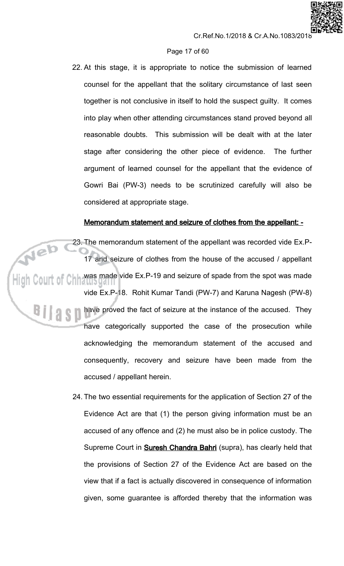# Page 17 of 60

22. At this stage, it is appropriate to notice the submission of learned counsel for the appellant that the solitary circumstance of last seen together is not conclusive in itself to hold the suspect guilty. It comes into play when other attending circumstances stand proved beyond all reasonable doubts. This submission will be dealt with at the later stage after considering the other piece of evidence. The further argument of learned counsel for the appellant that the evidence of Gowri Bai (PW-3) needs to be scrutinized carefully will also be considered at appropriate stage.

# Memorandum statement and seizure of clothes from the appellant: -

23. The memorandum statement of the appellant was recorded vide Ex.P-17 and seizure of clothes from the house of the accused / appellant was made vide Ex.P-19 and seizure of spade from the spot was made vide Ex.P-18. Rohit Kumar Tandi (PW-7) and Karuna Nagesh (PW-8) have proved the fact of seizure at the instance of the accused. They have categorically supported the case of the prosecution while acknowledging the memorandum statement of the accused and consequently, recovery and seizure have been made from the accused / appellant herein.

> 24. The two essential requirements for the application of Section 27 of the Evidence Act are that (1) the person giving information must be an accused of any offence and (2) he must also be in police custody. The Supreme Court in **Suresh Chandra Bahri** (supra), has clearly held that the provisions of Section 27 of the Evidence Act are based on the view that if a fact is actually discovered in consequence of information given, some guarantee is afforded thereby that the information was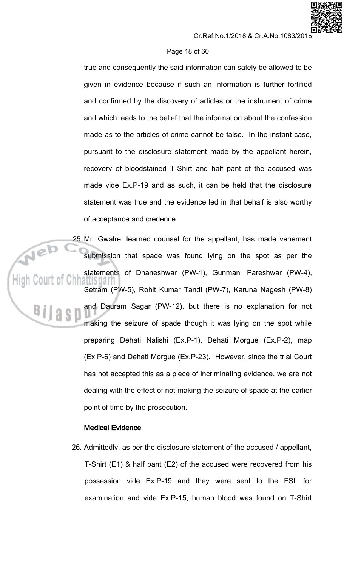## Page 18 of 60

true and consequently the said information can safely be allowed to be given in evidence because if such an information is further fortified and confirmed by the discovery of articles or the instrument of crime and which leads to the belief that the information about the confession made as to the articles of crime cannot be false. In the instant case, pursuant to the disclosure statement made by the appellant herein, recovery of bloodstained T-Shirt and half pant of the accused was made vide Ex.P-19 and as such, it can be held that the disclosure statement was true and the evidence led in that behalf is also worthy of acceptance and credence.

25. Mr. Gwalre, learned counsel for the appellant, has made vehement submission that spade was found lying on the spot as per the statements of Dhaneshwar (PW-1), Gunmani Pareshwar (PW-4), attisoarr Setram (PW-5), Rohit Kumar Tandi (PW-7), Karuna Nagesh (PW-8) and Dauram Sagar (PW-12), but there is no explanation for not making the seizure of spade though it was lying on the spot while preparing Dehati Nalishi (Ex.P-1), Dehati Morgue (Ex.P-2), map (Ex.P-6) and Dehati Morgue (Ex.P-23). However, since the trial Court has not accepted this as a piece of incriminating evidence, we are not dealing with the effect of not making the seizure of spade at the earlier point of time by the prosecution.

# **Medical Evidence**

26. Admittedly, as per the disclosure statement of the accused / appellant, T-Shirt (E1) & half pant (E2) of the accused were recovered from his possession vide Ex.P-19 and they were sent to the FSL for examination and vide Ex.P-15, human blood was found on T-Shirt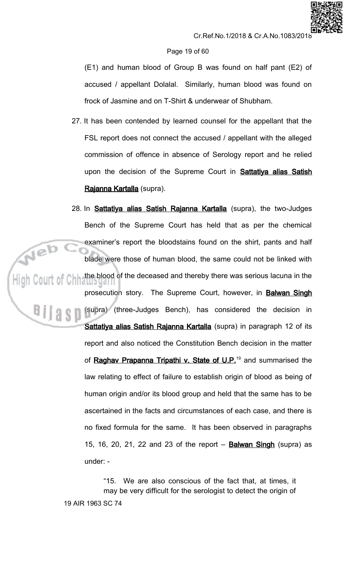## Page 19 of 60

(E1) and human blood of Group B was found on half pant (E2) of accused / appellant Dolalal. Similarly, human blood was found on frock of Jasmine and on T-Shirt & underwear of Shubham.

- 27. It has been contended by learned counsel for the appellant that the FSL report does not connect the accused / appellant with the alleged commission of offence in absence of Serology report and he relied upon the decision of the Supreme Court in **Sattatiya alias Satish** Rajanna Kartalla (supra).
- 28. In **Sattatiya alias Satish Rajanna Kartalla** (supra), the two-Judges Bench of the Supreme Court has held that as per the chemical examiner's report the bloodstains found on the shirt, pants and half blade were those of human blood, the same could not be linked with the blood of the deceased and thereby there was serious lacuna in the prosecution story. The Supreme Court, however, in Balwan Singh (supra) (three-Judges Bench), has considered the decision in Sattatiya alias Satish Rajanna Kartalla (supra) in paragraph 12 of its report and also noticed the Constitution Bench decision in the matter of Raghav Prapanna Tripathi v. State of U.P.<sup>19</sup> and summarised the law relating to effect of failure to establish origin of blood as being of human origin and/or its blood group and held that the same has to be ascertained in the facts and circumstances of each case, and there is no fixed formula for the same. It has been observed in paragraphs 15, 16, 20, 21, 22 and 23 of the report - **Balwan Singh** (supra) as under: -

"15. We are also conscious of the fact that, at times, it may be very difficult for the serologist to detect the origin of 19 AIR 1963 SC 74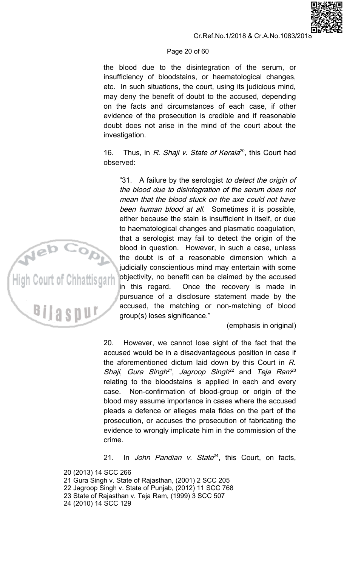# Page 20 of 60

the blood due to the disintegration of the serum, or insufficiency of bloodstains, or haematological changes, etc. In such situations, the court, using its judicious mind, may deny the benefit of doubt to the accused, depending on the facts and circumstances of each case, if other evidence of the prosecution is credible and if reasonable doubt does not arise in the mind of the court about the investigation.

 $16.$ Thus, in R. Shaji v. State of Kerala<sup>20</sup>, this Court had observed:

"31. A failure by the serologist to detect the origin of the blood due to disintegration of the serum does not mean that the blood stuck on the axe could not have been human blood at all. Sometimes it is possible, either because the stain is insufficient in itself, or due to haematological changes and plasmatic coagulation, that a serologist may fail to detect the origin of the blood in question. However, in such a case, unless the doubt is of a reasonable dimension which a judicially conscientious mind may entertain with some objectivity, no benefit can be claimed by the accused in this regard. Once the recovery is made in pursuance of a disclosure statement made by the accused, the matching or non-matching of blood group(s) loses significance."

(emphasis in original)

However, we cannot lose sight of the fact that the 20. accused would be in a disadvantageous position in case if the aforementioned dictum laid down by this Court in  $R$ . Shaji, Gura Singh<sup>21</sup>, Jagroop Singh<sup>22</sup> and Teja Ram<sup>23</sup> relating to the bloodstains is applied in each and every Non-confirmation of blood-group or origin of the case. blood may assume importance in cases where the accused pleads a defence or alleges mala fides on the part of the prosecution, or accuses the prosecution of fabricating the evidence to wrongly implicate him in the commission of the crime.

In John Pandian v. State<sup>24</sup>, this Court, on facts,  $21.$ 

20 (2013) 14 SCC 266 21 Gura Singh v. State of Rajasthan, (2001) 2 SCC 205 22 Jagroop Singh v. State of Punjab, (2012) 11 SCC 768 23 State of Rajasthan v. Teja Ram, (1999) 3 SCC 507 24 (2010) 14 SCC 129



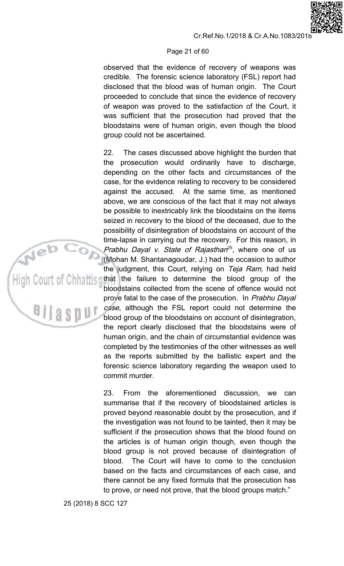## Page 21 of 60

observed that the evidence of recovery of weapons was credible. The forensic science laboratory (FSL) report had disclosed that the blood was of human origin. The Court proceeded to conclude that since the evidence of recovery of weapon was proved to the satisfaction of the Court, it was sufficient that the prosecution had proved that the bloodstains were of human origin, even though the blood group could not be ascertained.

 $22.$ The cases discussed above highlight the burden that the prosecution would ordinarily have to discharge, depending on the other facts and circumstances of the case, for the evidence relating to recovery to be considered against the accused. At the same time, as mentioned above, we are conscious of the fact that it may not always be possible to inextricably link the bloodstains on the items seized in recovery to the blood of the deceased, due to the possibility of disintegration of bloodstains on account of the time-lapse in carrying out the recovery. For this reason, in Prabhu Dayal v. State of Rajasthan<sup>25</sup>, where one of us (Mohan M. Shantanagoudar, J.) had the occasion to author the judgment, this Court, relying on Teja Ram, had held that the failure to determine the blood group of the bloodstains collected from the scene of offence would not prove fatal to the case of the prosecution. In Prabhu Dayal case, although the FSL report could not determine the blood group of the bloodstains on account of disintegration, the report clearly disclosed that the bloodstains were of human origin, and the chain of circumstantial evidence was completed by the testimonies of the other witnesses as well as the reports submitted by the ballistic expert and the forensic science laboratory regarding the weapon used to commit murder.

23. From the aforementioned discussion. we can summarise that if the recovery of bloodstained articles is proved beyond reasonable doubt by the prosecution, and if the investigation was not found to be tainted, then it may be sufficient if the prosecution shows that the blood found on the articles is of human origin though, even though the blood group is not proved because of disintegration of The Court will have to come to the conclusion blood. based on the facts and circumstances of each case, and there cannot be any fixed formula that the prosecution has to prove, or need not prove, that the blood groups match."

a s

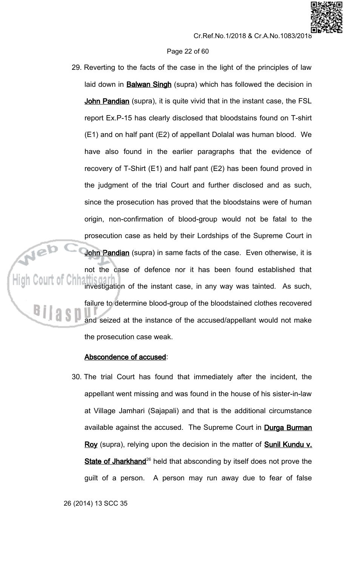## Page 22 of 60

29. Reverting to the facts of the case in the light of the principles of law laid down in **Balwan Singh** (supra) which has followed the decision in John Pandian (supra), it is quite vivid that in the instant case, the FSL report Ex.P-15 has clearly disclosed that bloodstains found on T-shirt (E1) and on half pant (E2) of appellant Dolalal was human blood. We have also found in the earlier paragraphs that the evidence of recovery of T-Shirt (E1) and half pant (E2) has been found proved in the judgment of the trial Court and further disclosed and as such, since the prosecution has proved that the bloodstains were of human origin, non-confirmation of blood-group would not be fatal to the prosecution case as held by their Lordships of the Supreme Court in John Pandian (supra) in same facts of the case. Even otherwise, it is not the case of defence nor it has been found established that investigation of the instant case, in any way was tainted. As such, failure to determine blood-group of the bloodstained clothes recovered and seized at the instance of the accused/appellant would not make the prosecution case weak.

# Abscondence of accused:

30. The trial Court has found that immediately after the incident, the appellant went missing and was found in the house of his sister-in-law at Village Jamhari (Sajapali) and that is the additional circumstance available against the accused. The Supreme Court in Durga Burman Roy (supra), relying upon the decision in the matter of Sunil Kundu v. State of Jharkhand<sup>26</sup> held that absconding by itself does not prove the guilt of a person. A person may run away due to fear of false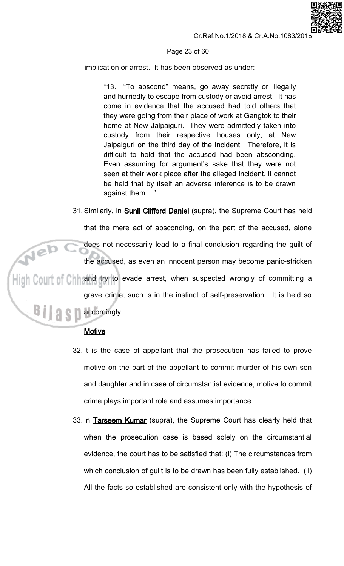# Page 23 of 60

implication or arrest. It has been observed as under: -

"13. "To abscond" means, go away secretly or illegally and hurriedly to escape from custody or avoid arrest. It has come in evidence that the accused had told others that they were going from their place of work at Gangtok to their home at New Jalpaiguri. They were admittedly taken into custody from their respective houses only, at New Jalpaiguri on the third day of the incident. Therefore, it is difficult to hold that the accused had been absconding. Even assuming for argument's sake that they were not seen at their work place after the alleged incident, it cannot be held that by itself an adverse inference is to be drawn against them ..."

31. Similarly, in **Sunil Clifford Daniel** (supra), the Supreme Court has held

that the mere act of absconding, on the part of the accused, alone does not necessarily lead to a final conclusion regarding the guilt of the accused, as even an innocent person may become panic-stricken  $\frac{1}{\|u\|}$  Court of Chh and try to evade arrest, when suspected wrongly of committing a grave crime; such is in the instinct of self-preservation. It is held so **A A** accordingly.

# **Motive**

- 32. It is the case of appellant that the prosecution has failed to prove motive on the part of the appellant to commit murder of his own son and daughter and in case of circumstantial evidence, motive to commit crime plays important role and assumes importance.
- 33. In Tarseem Kumar (supra), the Supreme Court has clearly held that when the prosecution case is based solely on the circumstantial evidence, the court has to be satisfied that: (i) The circumstances from which conclusion of guilt is to be drawn has been fully established. (ii) All the facts so established are consistent only with the hypothesis of

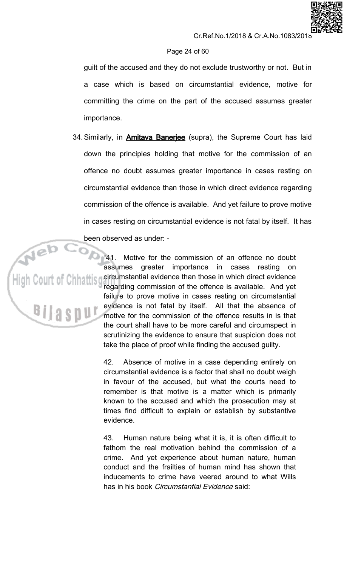# Page 24 of 60

guilt of the accused and they do not exclude trustworthy or not. But in a case which is based on circumstantial evidence, motive for committing the crime on the part of the accused assumes greater importance.

34. Similarly, in **Amitava Baneriee** (supra), the Supreme Court has laid down the principles holding that motive for the commission of an offence no doubt assumes greater importance in cases resting on circumstantial evidence than those in which direct evidence regarding commission of the offence is available. And yet failure to prove motive in cases resting on circumstantial evidence is not fatal by itself. It has been observed as under: -

> $"41.$ Motive for the commission of an offence no doubt assumes greater importance in cases resting on circumstantial evidence than those in which direct evidence regarding commission of the offence is available. And yet failure to prove motive in cases resting on circumstantial evidence is not fatal by itself. All that the absence of motive for the commission of the offence results in is that the court shall have to be more careful and circumspect in scrutinizing the evidence to ensure that suspicion does not take the place of proof while finding the accused guilty.

> 42. Absence of motive in a case depending entirely on circumstantial evidence is a factor that shall no doubt weigh in favour of the accused, but what the courts need to remember is that motive is a matter which is primarily known to the accused and which the prosecution may at times find difficult to explain or establish by substantive evidence

> 43. Human nature being what it is, it is often difficult to fathom the real motivation behind the commission of a crime. And yet experience about human nature, human conduct and the frailties of human mind has shown that inducements to crime have veered around to what Wills has in his book *Circumstantial Evidence* said: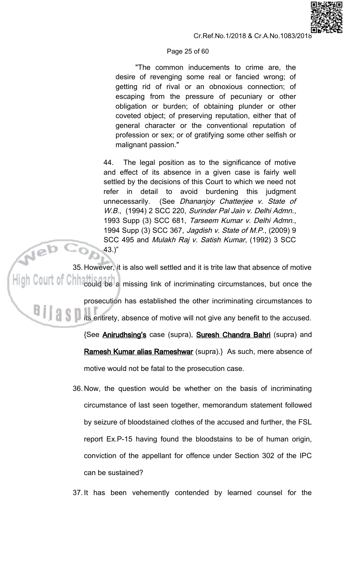



"The common inducements to crime are, the desire of revenging some real or fancied wrong; of getting rid of rival or an obnoxious connection; of escaping from the pressure of pecuniary or other obligation or burden; of obtaining plunder or other coveted object; of preserving reputation, either that of general character or the conventional reputation of profession or sex; or of gratifying some other selfish or malignant passion."

44. The legal position as to the significance of motive and effect of its absence in a given case is fairly well settled by the decisions of this Court to which we need not refer in detail to avoid burdening this judgment (See Dhananjoy Chatterjee v. State of unnecessarily. W.B., (1994) 2 SCC 220, Surinder Pal Jain v. Delhi Admn., 1993 Supp (3) SCC 681, Tarseem Kumar v. Delhi Admn., 1994 Supp (3) SCC 367, Jagdish v. State of M.P., (2009) 9 SCC 495 and Mulakh Raj v. Satish Kumar, (1992) 3 SCC  $43.$ "

Neb 35. However, it is also well settled and it is trite law that absence of motive  $\mathsf{High}\ \mathbb{C}$ 0 $\mathbb{U}$ t of  $\mathbb{C}$ hh $\mathbb{C}$ could be a missing link of incriminating circumstances, but once the prosecution has established the other incriminating circumstances to **All 1999** its entirety, absence of motive will not give any benefit to the accused. {See **Anirudhsing's** case (supra), **Suresh Chandra Bahri** (supra) and

> Ramesh Kumar alias Rameshwar (supra).} As such, mere absence of motive would not be fatal to the prosecution case.

36. Now, the question would be whether on the basis of incriminating circumstance of last seen together, memorandum statement followed by seizure of bloodstained clothes of the accused and further, the FSL report Ex.P-15 having found the bloodstains to be of human origin, conviction of the appellant for offence under Section 302 of the IPC can be sustained?

37. It has been vehemently contended by learned counsel for the

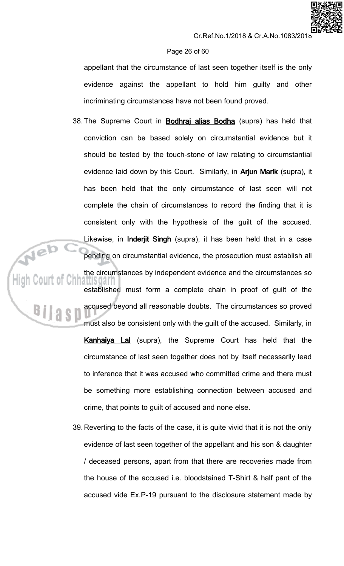# Page 26 of 60

appellant that the circumstance of last seen together itself is the only evidence against the appellant to hold him guilty and other incriminating circumstances have not been found proved.

38. The Supreme Court in **Bodhraj alias Bodha** (supra) has held that conviction can be based solely on circumstantial evidence but it should be tested by the touch-stone of law relating to circumstantial evidence laid down by this Court. Similarly, in **Arjun Marik** (supra), it has been held that the only circumstance of last seen will not complete the chain of circumstances to record the finding that it is consistent only with the hypothesis of the guilt of the accused. Likewise, in *Inderjit Singh* (supra), it has been held that in a case pending on circumstantial evidence, the prosecution must establish all the circumstances by independent evidence and the circumstances so iattisoari established must form a complete chain in proof of guilt of the accused beyond all reasonable doubts. The circumstances so proved must also be consistent only with the guilt of the accused. Similarly, in **Kanhaiya Lal** (supra), the Supreme Court has held that the circumstance of last seen together does not by itself necessarily lead to inference that it was accused who committed crime and there must be something more establishing connection between accused and crime, that points to guilt of accused and none else.

39. Reverting to the facts of the case, it is quite vivid that it is not the only evidence of last seen together of the appellant and his son & daughter / deceased persons, apart from that there are recoveries made from the house of the accused i.e. bloodstained T-Shirt & half pant of the accused vide Ex.P-19 pursuant to the disclosure statement made by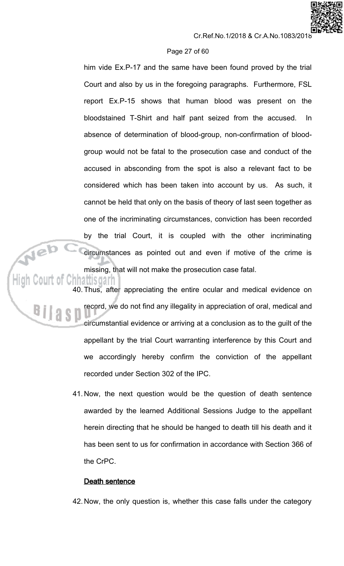## Page 27 of 60

him vide Ex.P-17 and the same have been found proved by the trial Court and also by us in the foregoing paragraphs. Furthermore, FSL report Ex.P-15 shows that human blood was present on the bloodstained T-Shirt and half pant seized from the accused. In. absence of determination of blood-group, non-confirmation of bloodgroup would not be fatal to the prosecution case and conduct of the accused in absconding from the spot is also a relevant fact to be considered which has been taken into account by us. As such, it cannot be held that only on the basis of theory of last seen together as one of the incriminating circumstances, conviction has been recorded by the trial Court, it is coupled with the other incriminating circumstances as pointed out and even if motive of the crime is missing, that will not make the prosecution case fatal.

Neb

40. Thus, after appreciating the entire ocular and medical evidence on record, we do not find any illegality in appreciation of oral, medical and circumstantial evidence or arriving at a conclusion as to the guilt of the appellant by the trial Court warranting interference by this Court and we accordingly hereby confirm the conviction of the appellant recorded under Section 302 of the IPC.

41. Now, the next question would be the question of death sentence awarded by the learned Additional Sessions Judge to the appellant herein directing that he should be hanged to death till his death and it has been sent to us for confirmation in accordance with Section 366 of the CrPC.

# Death sentence

42. Now, the only question is, whether this case falls under the category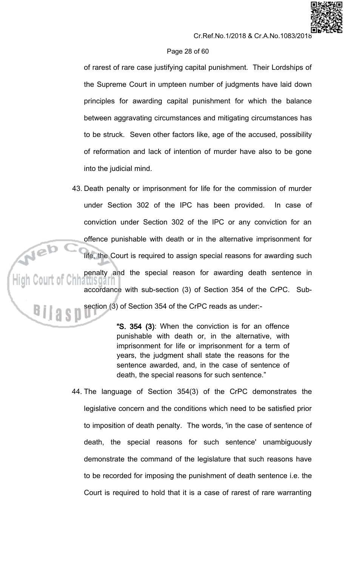## Page 28 of 60

of rarest of rare case justifying capital punishment. Their Lordships of the Supreme Court in umpteen number of judgments have laid down principles for awarding capital punishment for which the balance between aggravating circumstances and mitigating circumstances has to be struck. Seven other factors like, age of the accused, possibility of reformation and lack of intention of murder have also to be gone into the judicial mind.

43. Death penalty or imprisonment for life for the commission of murder under Section 302 of the IPC has been provided. In case of conviction under Section 302 of the IPC or any conviction for an offence punishable with death or in the alternative imprisonment for life, the Court is required to assign special reasons for awarding such penalty and the special reason for awarding death sentence in amsoai accordance with sub-section (3) of Section 354 of the CrPC. Subsection (3) of Section 354 of the CrPC reads as under:-

> "S. 354 (3): When the conviction is for an offence punishable with death or, in the alternative, with imprisonment for life or imprisonment for a term of years, the judgment shall state the reasons for the sentence awarded, and, in the case of sentence of death, the special reasons for such sentence."

44. The language of Section 354(3) of the CrPC demonstrates the legislative concern and the conditions which need to be satisfied prior to imposition of death penalty. The words, 'in the case of sentence of death, the special reasons for such sentence' unambiguously demonstrate the command of the legislature that such reasons have to be recorded for imposing the punishment of death sentence i.e. the Court is required to hold that it is a case of rarest of rare warranting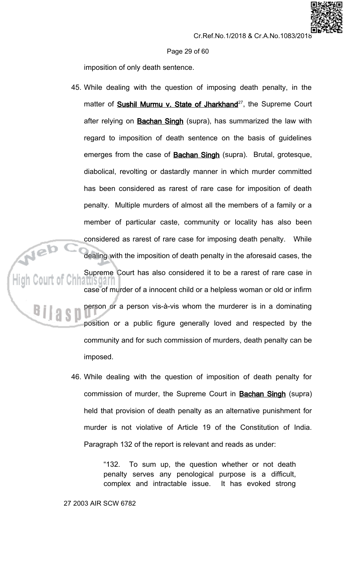Page 29 of 60

imposition of only death sentence.

- 45. While dealing with the question of imposing death penalty, in the matter of **Sushil Murmu v. State of Jharkhand**<sup>27</sup>, the Supreme Court after relying on **Bachan Singh** (supra), has summarized the law with regard to imposition of death sentence on the basis of guidelines emerges from the case of **Bachan Singh** (supra). Brutal, grotesque, diabolical, revolting or dastardly manner in which murder committed has been considered as rarest of rare case for imposition of death penalty. Multiple murders of almost all the members of a family or a member of particular caste, community or locality has also been considered as rarest of rare case for imposing death penalty. While dealing with the imposition of death penalty in the aforesaid cases, the Supreme Court has also considered it to be a rarest of rare case in <u>lattisuari</u> case of murder of a innocent child or a helpless woman or old or infirm person or a person vis-à-vis whom the murderer is in a dominating position or a public figure generally loved and respected by the community and for such commission of murders, death penalty can be
	- 46. While dealing with the question of imposition of death penalty for commission of murder, the Supreme Court in **Bachan Singh** (supra) held that provision of death penalty as an alternative punishment for murder is not violative of Article 19 of the Constitution of India. Paragraph 132 of the report is relevant and reads as under:

To sum up, the question whether or not death "132. penalty serves any penological purpose is a difficult, complex and intractable issue. It has evoked strong

imposed.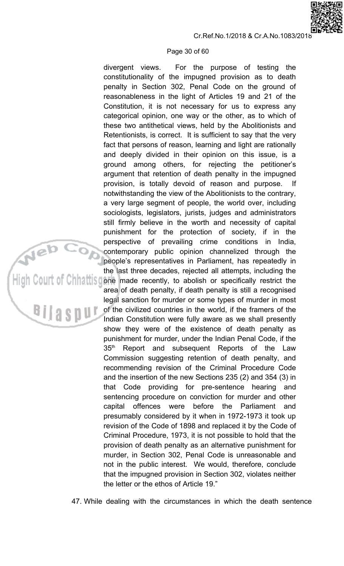#### Page 30 of 60

For the purpose of testing the divergent views. constitutionality of the impugned provision as to death penalty in Section 302, Penal Code on the ground of reasonableness in the light of Articles 19 and 21 of the Constitution, it is not necessary for us to express any categorical opinion, one way or the other, as to which of these two antithetical views, held by the Abolitionists and Retentionists, is correct. It is sufficient to say that the very fact that persons of reason, learning and light are rationally and deeply divided in their opinion on this issue, is a ground among others, for rejecting the petitioner's argument that retention of death penalty in the impugned provision, is totally devoid of reason and purpose. lf. notwithstanding the view of the Abolitionists to the contrary, a very large segment of people, the world over, including sociologists, legislators, jurists, judges and administrators still firmly believe in the worth and necessity of capital punishment for the protection of society, if in the perspective of prevailing crime conditions in India, contemporary public opinion channelized through the people's representatives in Parliament, has repeatedly in the last three decades, rejected all attempts, including the one made recently, to abolish or specifically restrict the area of death penalty, if death penalty is still a recognised legal sanction for murder or some types of murder in most of the civilized countries in the world, if the framers of the Indian Constitution were fully aware as we shall presently show they were of the existence of death penalty as punishment for murder, under the Indian Penal Code, if the  $35<sup>th</sup>$ Report and subsequent Reports of the Law Commission suggesting retention of death penalty, and recommending revision of the Criminal Procedure Code and the insertion of the new Sections 235 (2) and 354 (3) in that Code providing for pre-sentence hearing and sentencing procedure on conviction for murder and other offences were before the Parliament capital and presumably considered by it when in 1972-1973 it took up revision of the Code of 1898 and replaced it by the Code of Criminal Procedure, 1973, it is not possible to hold that the provision of death penalty as an alternative punishment for murder, in Section 302, Penal Code is unreasonable and not in the public interest. We would, therefore, conclude that the impugned provision in Section 302, violates neither the letter or the ethos of Article 19."

S.

47. While dealing with the circumstances in which the death sentence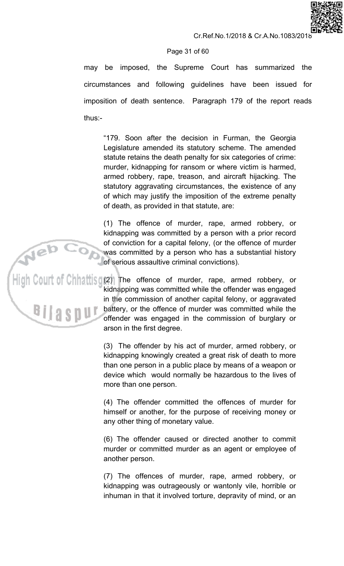## Page 31 of 60

may be imposed, the Supreme Court has summarized the circumstances and following guidelines have been issued for imposition of death sentence. Paragraph 179 of the report reads thus: $-$ 

"179. Soon after the decision in Furman, the Georgia Legislature amended its statutory scheme. The amended statute retains the death penalty for six categories of crime: murder, kidnapping for ransom or where victim is harmed, armed robbery, rape, treason, and aircraft hijacking. The statutory aggravating circumstances, the existence of any of which may justify the imposition of the extreme penalty of death, as provided in that statute, are:

(1) The offence of murder, rape, armed robbery, or kidnapping was committed by a person with a prior record of conviction for a capital felony, (or the offence of murder was committed by a person who has a substantial history of serious assaultive criminal convictions).

,<br>High Court of Chhattisg@) The\_offence\_of\_murder,\_rape,\_armed\_robbery,\_or kidnapping was committed while the offender was engaged in the commission of another capital felony, or aggravated battery, or the offence of murder was committed while the offender was engaged in the commission of burglary or arson in the first degree.

> (3) The offender by his act of murder, armed robbery, or kidnapping knowingly created a great risk of death to more than one person in a public place by means of a weapon or device which would normally be hazardous to the lives of more than one person.

> (4) The offender committed the offences of murder for himself or another, for the purpose of receiving money or any other thing of monetary value.

> (6) The offender caused or directed another to commit murder or committed murder as an agent or employee of another person.

> (7) The offences of murder, rape, armed robbery, or kidnapping was outrageously or wantonly vile, horrible or inhuman in that it involved torture, depravity of mind, or an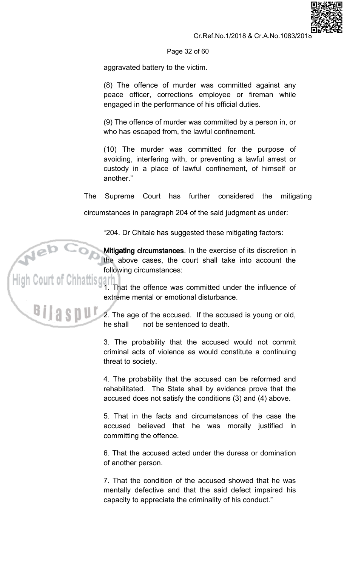

Page 32 of 60

aggravated battery to the victim.

(8) The offence of murder was committed against any peace officer, corrections employee or fireman while engaged in the performance of his official duties.

(9) The offence of murder was committed by a person in, or who has escaped from, the lawful confinement.

(10) The murder was committed for the purpose of avoiding, interfering with, or preventing a lawful arrest or custody in a place of lawful confinement, of himself or another."

**The** Supreme Court has further considered the mitigating

circumstances in paragraph 204 of the said judgment as under:

"204. Dr Chitale has suggested these mitigating factors:

Mitigating circumstances. In the exercise of its discretion in the above cases, the court shall take into account the following circumstances:

1. That the offence was committed under the influence of extreme mental or emotional disturbance.

2. The age of the accused. If the accused is young or old, he shall not be sentenced to death.

3. The probability that the accused would not commit criminal acts of violence as would constitute a continuing threat to society.

4. The probability that the accused can be reformed and rehabilitated. The State shall by evidence prove that the accused does not satisfy the conditions (3) and (4) above.

5. That in the facts and circumstances of the case the accused believed that he was morally justified in committing the offence.

6. That the accused acted under the duress or domination of another person.

7. That the condition of the accused showed that he was mentally defective and that the said defect impaired his capacity to appreciate the criminality of his conduct."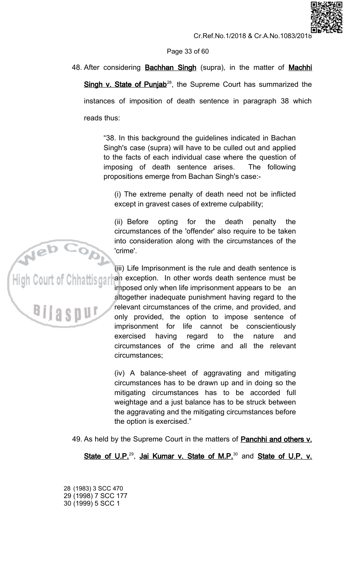Page 33 of 60

48. After considering **Bachhan Singh** (supra), in the matter of **Machhi** Singh v. State of Punjab<sup>28</sup>, the Supreme Court has summarized the instances of imposition of death sentence in paragraph 38 which reads thus:

> "38. In this background the guidelines indicated in Bachan Singh's case (supra) will have to be culled out and applied to the facts of each individual case where the question of imposing of death sentence arises. The following propositions emerge from Bachan Singh's case:-

(i) The extreme penalty of death need not be inflicted except in gravest cases of extreme culpability;

(ii) Before opting for the death penalty the circumstances of the 'offender' also require to be taken into consideration along with the circumstances of the 'crime'.

(iii) Life Imprisonment is the rule and death sentence is .<br>High Court of Chhattisgarl an exception. In other words death sentence must be imposed only when life imprisonment appears to be an altogether inadequate punishment having regard to the relevant circumstances of the crime, and provided, and **BIIAS** only provided, the option to impose sentence of imprisonment for life cannot be conscientiously exercised having regard to the nature and circumstances of the crime and all the relevant circumstances:

> (iv) A balance-sheet of aggravating and mitigating circumstances has to be drawn up and in doing so the mitigating circumstances has to be accorded full weightage and a just balance has to be struck between the aggravating and the mitigating circumstances before the option is exercised."

49. As held by the Supreme Court in the matters of **Panchhi and others v.** 

State of U.P.<sup>29</sup>, Jai Kumar v. State of M.P.<sup>30</sup> and State of U.P. v.

28 (1983) 3 SCC 470 29 (1998) 7 SCC 177 30 (1999) 5 SCC 1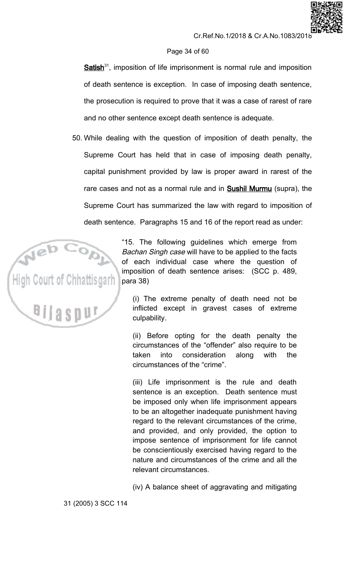# Page 34 of 60

 $Satisfies h^{31}$ , imposition of life imprisonment is normal rule and imposition of death sentence is exception. In case of imposing death sentence, the prosecution is required to prove that it was a case of rarest of rare and no other sentence except death sentence is adequate.

50. While dealing with the question of imposition of death penalty, the Supreme Court has held that in case of imposing death penalty, capital punishment provided by law is proper award in rarest of the rare cases and not as a normal rule and in **Sushil Murmu** (supra), the Supreme Court has summarized the law with regard to imposition of death sentence. Paragraphs 15 and 16 of the report read as under:



"15. The following guidelines which emerge from Bachan Singh case will have to be applied to the facts of each individual case where the question of imposition of death sentence arises: (SCC p. 489, para 38)

(i) The extreme penalty of death need not be inflicted except in gravest cases of extreme culpability.

(ii) Before opting for the death penalty the circumstances of the "offender" also require to be consideration taken into along with the circumstances of the "crime".

(iii) Life imprisonment is the rule and death sentence is an exception. Death sentence must be imposed only when life imprisonment appears to be an altogether inadequate punishment having regard to the relevant circumstances of the crime, and provided, and only provided, the option to impose sentence of imprisonment for life cannot be conscientiously exercised having regard to the nature and circumstances of the crime and all the relevant circumstances.

(iv) A balance sheet of aggravating and mitigating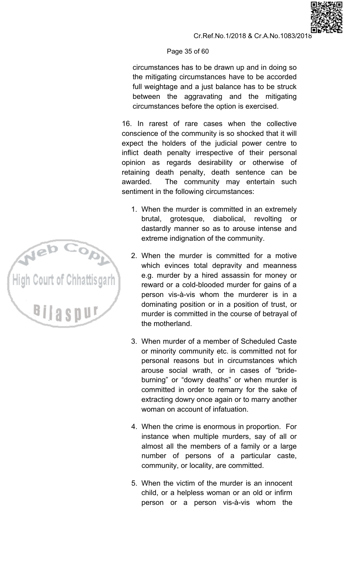# Page 35 of 60

circumstances has to be drawn up and in doing so the mitigating circumstances have to be accorded full weightage and a just balance has to be struck between the aggravating and the mitigating circumstances before the option is exercised.

16. In rarest of rare cases when the collective conscience of the community is so shocked that it will expect the holders of the judicial power centre to inflict death penalty irrespective of their personal opinion as regards desirability or otherwise of retaining death penalty, death sentence can be awarded. The community may entertain such sentiment in the following circumstances:

- 1. When the murder is committed in an extremely grotesque, diabolical, revolting brutal. **or** dastardly manner so as to arouse intense and extreme indignation of the community.
- 2. When the murder is committed for a motive which evinces total depravity and meanness e.g. murder by a hired assassin for money or reward or a cold-blooded murder for gains of a person vis-à-vis whom the murderer is in a dominating position or in a position of trust, or murder is committed in the course of betrayal of the motherland.
- 3. When murder of a member of Scheduled Caste or minority community etc. is committed not for personal reasons but in circumstances which arouse social wrath, or in cases of "brideburning" or "dowry deaths" or when murder is committed in order to remarry for the sake of extracting dowry once again or to marry another woman on account of infatuation.
- 4. When the crime is enormous in proportion. For instance when multiple murders, say of all or almost all the members of a family or a large number of persons of a particular caste, community, or locality, are committed.
- 5. When the victim of the murder is an innocent child, or a helpless woman or an old or infirm person or a person vis-à-vis whom the

High Court of Chhattisgarh **BIIAS** 

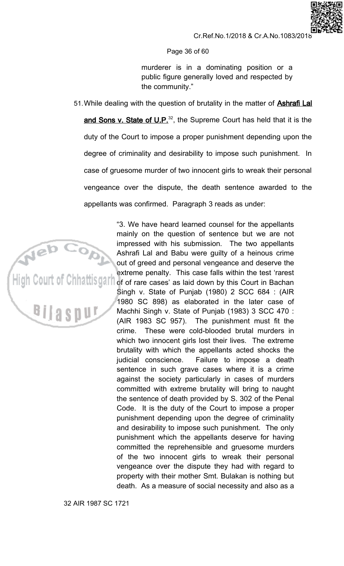#### Page 36 of 60

murderer is in a dominating position or a public figure generally loved and respected by the community."

51. While dealing with the question of brutality in the matter of **Ashrafi Lal** and Sons v. State of U.P.<sup>32</sup>, the Supreme Court has held that it is the duty of the Court to impose a proper punishment depending upon the degree of criminality and desirability to impose such punishment. In case of gruesome murder of two innocent girls to wreak their personal vengeance over the dispute, the death sentence awarded to the appellants was confirmed. Paragraph 3 reads as under:



"3. We have heard learned counsel for the appellants mainly on the question of sentence but we are not impressed with his submission. The two appellants Ashrafi Lal and Babu were guilty of a heinous crime out of greed and personal vengeance and deserve the extreme penalty. This case falls within the test 'rarest<br>High Court of Chhattisgart of of rare cases' as laid down by this Court in Bachan Singh v. State of Punjab (1980) 2 SCC 684 : (AIR 1980 SC 898) as elaborated in the later case of Machhi Singh v. State of Punjab (1983) 3 SCC 470 : (AIR 1983 SC 957). The punishment must fit the crime. These were cold-blooded brutal murders in which two innocent girls lost their lives. The extreme brutality with which the appellants acted shocks the judicial conscience. Failure to impose a death sentence in such grave cases where it is a crime against the society particularly in cases of murders committed with extreme brutality will bring to naught the sentence of death provided by S. 302 of the Penal Code. It is the duty of the Court to impose a proper punishment depending upon the degree of criminality and desirability to impose such punishment. The only punishment which the appellants deserve for having committed the reprehensible and gruesome murders of the two innocent girls to wreak their personal vengeance over the dispute they had with regard to property with their mother Smt. Bulakan is nothing but death. As a measure of social necessity and also as a

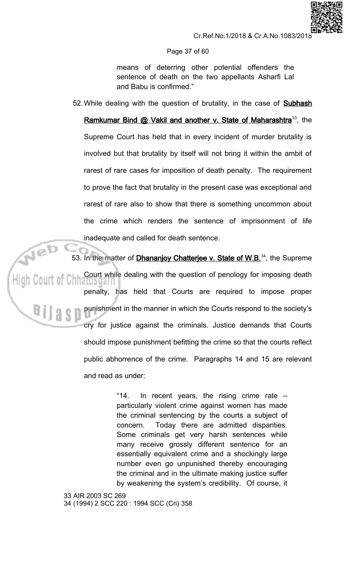

#### Page 37 of 60

means of deterring other potential offenders the sentence of death on the two appellants Asharfi Lal and Babu is confirmed."

52. While dealing with the question of brutality, in the case of **Subhash** 

Ramkumar Bind @ Vakil and another v. State of Maharashtra<sup>33</sup>, the Supreme Court has held that in every incident of murder brutality is involved but that brutality by itself will not bring it within the ambit of rarest of rare cases for imposition of death penalty. The requirement to prove the fact that brutality in the present case was exceptional and rarest of rare also to show that there is something uncommon about the crime which renders the sentence of imprisonment of life inadequate and called for death sentence.

53. In the matter of **Dhananjoy Chatterjee v. State of W.B.**<sup>34</sup>, the Supreme Court while dealing with the question of penology for imposing death penalty, has held that Courts are required to impose proper punishment in the manner in which the Courts respond to the society's cry for justice against the criminals. Justice demands that Courts should impose punishment befitting the crime so that the courts reflect public abhorrence of the crime. Paragraphs 14 and 15 are relevant and read as under:

> $"14.$ In recent years, the rising crime rate  $$ particularly violent crime against women has made the criminal sentencing by the courts a subject of Today there are admitted disparities. concern. Some criminals get very harsh sentences while many receive grossly different sentence for an essentially equivalent crime and a shockingly large number even go unpunished thereby encouraging the criminal and in the ultimate making justice suffer by weakening the system's credibility. Of course, it

33 AIR 2003 SC 269 34 (1994) 2 SCC 220: 1994 SCC (Cri) 358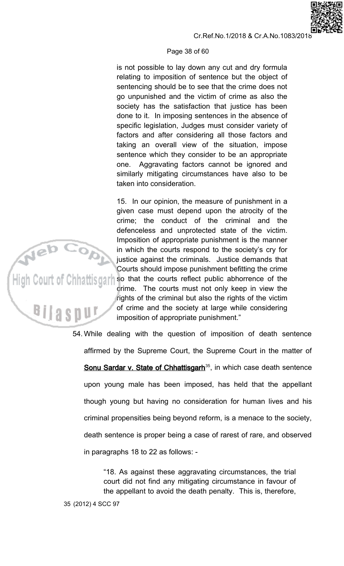#### Page 38 of 60

is not possible to lay down any cut and dry formula relating to imposition of sentence but the object of sentencing should be to see that the crime does not go unpunished and the victim of crime as also the society has the satisfaction that justice has been done to it. In imposing sentences in the absence of specific legislation, Judges must consider variety of factors and after considering all those factors and taking an overall view of the situation, impose sentence which they consider to be an appropriate Aggravating factors cannot be ignored and one. similarly mitigating circumstances have also to be taken into consideration.

15. In our opinion, the measure of punishment in a given case must depend upon the atrocity of the crime: the conduct of the criminal and the defenceless and unprotected state of the victim. Imposition of appropriate punishment is the manner in which the courts respond to the society's cry for justice against the criminals. Justice demands that Courts should impose punishment befitting the crime .<br>High Court of Chhattisgarh so that the courts reflect public abhorrence of the crime. The courts must not only keep in view the rights of the criminal but also the rights of the victim of crime and the society at large while considering imposition of appropriate punishment."

> 54. While dealing with the question of imposition of death sentence affirmed by the Supreme Court, the Supreme Court in the matter of Sonu Sardar v. State of Chhattisgarh<sup>35</sup>, in which case death sentence upon young male has been imposed, has held that the appellant though young but having no consideration for human lives and his criminal propensities being beyond reform, is a menace to the society, death sentence is proper being a case of rarest of rare, and observed in paragraphs 18 to 22 as follows: -

> > "18. As against these aggravating circumstances, the trial court did not find any mitigating circumstance in favour of the appellant to avoid the death penalty. This is, therefore,

Bilas

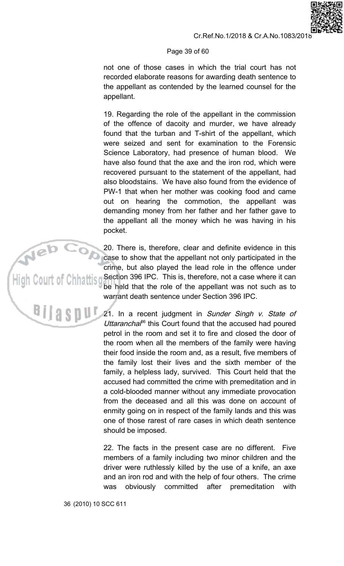# Page 39 of 60

not one of those cases in which the trial court has not recorded elaborate reasons for awarding death sentence to the appellant as contended by the learned counsel for the appellant.

19. Regarding the role of the appellant in the commission of the offence of dacoity and murder, we have already found that the turban and T-shirt of the appellant, which were seized and sent for examination to the Forensic Science Laboratory, had presence of human blood. We have also found that the axe and the iron rod, which were recovered pursuant to the statement of the appellant, had also bloodstains. We have also found from the evidence of PW-1 that when her mother was cooking food and came out on hearing the commotion, the appellant was demanding money from her father and her father gave to the appellant all the money which he was having in his pocket.

20. There is, therefore, clear and definite evidence in this case to show that the appellant not only participated in the crime, but also played the lead role in the offence under Section 396 IPC. This is, therefore, not a case where it can be held that the role of the appellant was not such as to warrant death sentence under Section 396 IPC.

21. In a recent judgment in Sunder Singh v. State of Uttarancha<sup>66</sup> this Court found that the accused had poured petrol in the room and set it to fire and closed the door of the room when all the members of the family were having their food inside the room and, as a result, five members of the family lost their lives and the sixth member of the family, a helpless lady, survived. This Court held that the accused had committed the crime with premeditation and in a cold-blooded manner without any immediate provocation from the deceased and all this was done on account of enmity going on in respect of the family lands and this was one of those rarest of rare cases in which death sentence should be imposed.

22. The facts in the present case are no different. Five members of a family including two minor children and the driver were ruthlessly killed by the use of a knife, an axe and an iron rod and with the help of four others. The crime obviously committed after premeditation was with

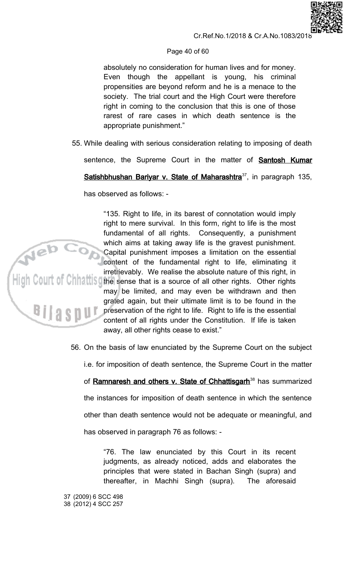

### Cr.Ref.No.1/2018 & Cr.A.No.1083/2018

# Page 40 of 60

absolutely no consideration for human lives and for money. Even though the appellant is young, his criminal propensities are beyond reform and he is a menace to the society. The trial court and the High Court were therefore right in coming to the conclusion that this is one of those rarest of rare cases in which death sentence is the appropriate punishment."

55. While dealing with serious consideration relating to imposing of death

sentence, the Supreme Court in the matter of **Santosh Kumar** 

Satishbhushan Bariyar v. State of Maharashtra<sup>37</sup>, in paragraph 135,

has observed as follows: -

"135. Right to life, in its barest of connotation would imply right to mere survival. In this form, right to life is the most fundamental of all rights. Consequently, a punishment which aims at taking away life is the gravest punishment. Capital punishment imposes a limitation on the essential<br>content of the fundamental right to life, eliminating it<br>irretrievably. We realise the absolute nature of this right, in<br>light Court of China the sense that is a sou may be limited, and may even be withdrawn and then grated again, but their ultimate limit is to be found in the preservation of the right to life. Right to life is the essential content of all rights under the Constitution. If life is taken away, all other rights cease to exist."

56. On the basis of law enunciated by the Supreme Court on the subject

i.e. for imposition of death sentence, the Supreme Court in the matter

of Ramnaresh and others v. State of Chhattisgarh<sup>38</sup> has summarized the instances for imposition of death sentence in which the sentence

other than death sentence would not be adequate or meaningful, and

has observed in paragraph 76 as follows: -

"76. The law enunciated by this Court in its recent judgments, as already noticed, adds and elaborates the principles that were stated in Bachan Singh (supra) and thereafter, in Machhi Singh (supra). The aforesaid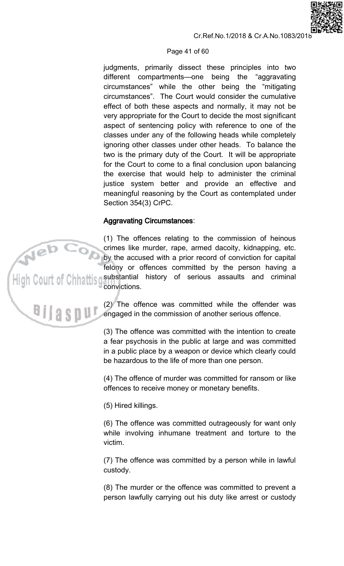## Page 41 of 60

judgments, primarily dissect these principles into two different compartments-one being the "aggravating circumstances" while the other being the "mitigating circumstances". The Court would consider the cumulative effect of both these aspects and normally, it may not be very appropriate for the Court to decide the most significant aspect of sentencing policy with reference to one of the classes under any of the following heads while completely ignoring other classes under other heads. To balance the two is the primary duty of the Court. It will be appropriate for the Court to come to a final conclusion upon balancing the exercise that would help to administer the criminal justice system better and provide an effective and meaningful reasoning by the Court as contemplated under Section 354(3) CrPC.

# **Aggravating Circumstances:**

(1) The offences relating to the commission of heinous crimes like murder, rape, armed dacoity, kidnapping, etc. by the accused with a prior record of conviction for capital felony or offences committed by the person having a substantial history of serious assaults and criminal convictions.

> (2) The offence was committed while the offender was engaged in the commission of another serious offence.

> (3) The offence was committed with the intention to create a fear psychosis in the public at large and was committed in a public place by a weapon or device which clearly could be hazardous to the life of more than one person.

> (4) The offence of murder was committed for ransom or like offences to receive money or monetary benefits.

(5) Hired killings.

(6) The offence was committed outrageously for want only while involving inhumane treatment and torture to the victim.

(7) The offence was committed by a person while in lawful custody.

(8) The murder or the offence was committed to prevent a person lawfully carrying out his duty like arrest or custody

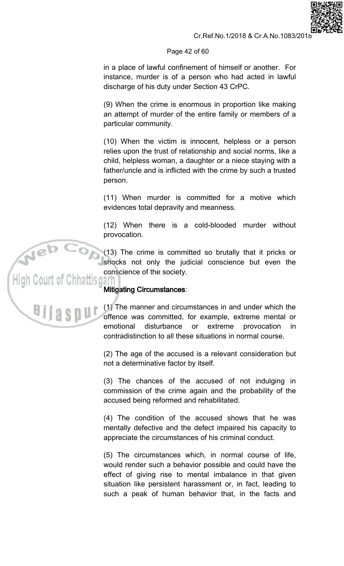### Page 42 of 60

in a place of lawful confinement of himself or another. For instance, murder is of a person who had acted in lawful discharge of his duty under Section 43 CrPC.

(9) When the crime is enormous in proportion like making an attempt of murder of the entire family or members of a particular community.

(10) When the victim is innocent, helpless or a person relies upon the trust of relationship and social norms, like a child, helpless woman, a daughter or a niece staying with a father/uncle and is inflicted with the crime by such a trusted person.

(11) When murder is committed for a motive which evidences total depravity and meanness.

(12) When there is a cold-blooded murder without provocation.

(13) The crime is committed so brutally that it pricks or shocks not only the judicial conscience but even the conscience of the society.

# **Mitigating Circumstances:**

(1) The manner and circumstances in and under which the offence was committed, for example, extreme mental or emotional disturbance or extreme provocation in. contradistinction to all these situations in normal course.

(2) The age of the accused is a relevant consideration but not a determinative factor by itself.

(3) The chances of the accused of not indulging in commission of the crime again and the probability of the accused being reformed and rehabilitated.

(4) The condition of the accused shows that he was mentally defective and the defect impaired his capacity to appreciate the circumstances of his criminal conduct.

(5) The circumstances which, in normal course of life, would render such a behavior possible and could have the effect of giving rise to mental imbalance in that given situation like persistent harassment or, in fact, leading to such a peak of human behavior that, in the facts and

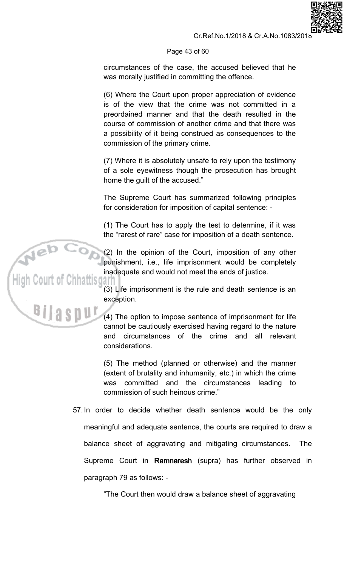### Page 43 of 60

circumstances of the case, the accused believed that he was morally justified in committing the offence.

(6) Where the Court upon proper appreciation of evidence is of the view that the crime was not committed in a preordained manner and that the death resulted in the course of commission of another crime and that there was a possibility of it being construed as consequences to the commission of the primary crime.

(7) Where it is absolutely unsafe to rely upon the testimony of a sole eyewitness though the prosecution has brought home the guilt of the accused."

The Supreme Court has summarized following principles for consideration for imposition of capital sentence: -

(1) The Court has to apply the test to determine, if it was the "rarest of rare" case for imposition of a death sentence.

(2) In the opinion of the Court, imposition of any other punishment, i.e., life imprisonment would be completely inadequate and would not meet the ends of justice.

(3) Life imprisonment is the rule and death sentence is an exception.

(4) The option to impose sentence of imprisonment for life cannot be cautiously exercised having regard to the nature and circumstances of the crime and all relevant considerations.

(5) The method (planned or otherwise) and the manner (extent of brutality and inhumanity, etc.) in which the crime was committed and the circumstances leading to commission of such heinous crime."

57. In order to decide whether death sentence would be the only meaningful and adequate sentence, the courts are required to draw a balance sheet of aggravating and mitigating circumstances. **The** Supreme Court in Ramnaresh (supra) has further observed in paragraph 79 as follows: -

"The Court then would draw a balance sheet of aggravating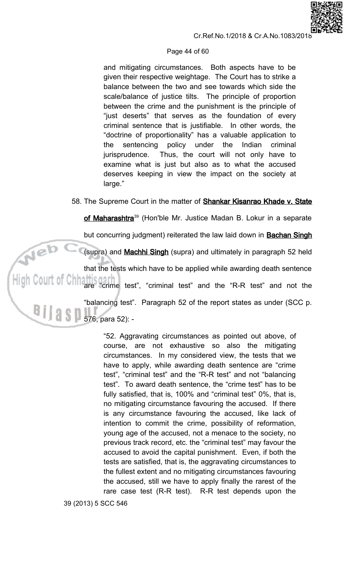

#### Page 44 of 60

and mitigating circumstances. Both aspects have to be given their respective weightage. The Court has to strike a balance between the two and see towards which side the scale/balance of justice tilts. The principle of proportion between the crime and the punishment is the principle of "just deserts" that serves as the foundation of every criminal sentence that is justifiable. In other words, the "doctrine of proportionality" has a valuable application to sentencing policy under the Indian the criminal Thus, the court will not only have to jurisprudence. examine what is just but also as to what the accused deserves keeping in view the impact on the society at large."

# 58. The Supreme Court in the matter of **Shankar Kisanrao Khade v. State**

of Maharashtra<sup>39</sup> (Hon'ble Mr. Justice Madan B. Lokur in a separate but concurring judgment) reiterated the law laid down in **Bachan Singh** Neb (supra) and Machhi Singh (supra) and ultimately in paragraph 52 held that the tests which have to be applied while awarding death sentence  $\mathsf{High}\ \mathbb{C}$ 0ull $\mathbb{C}$  of  $\mathbb{C}$ hh are "crime test", "criminal test" and the "R-R test" and not the "balancing test". Paragraph 52 of the report states as under (SCC p. 

> "52. Aggravating circumstances as pointed out above, of course, are not exhaustive so also the mitigating circumstances. In my considered view, the tests that we have to apply, while awarding death sentence are "crime" test", "criminal test" and the "R-R test" and not "balancing test". To award death sentence, the "crime test" has to be fully satisfied, that is, 100% and "criminal test" 0%, that is, no mitigating circumstance favouring the accused. If there is any circumstance favouring the accused, like lack of intention to commit the crime, possibility of reformation, young age of the accused, not a menace to the society, no previous track record, etc. the "criminal test" may favour the accused to avoid the capital punishment. Even, if both the tests are satisfied, that is, the aggravating circumstances to the fullest extent and no mitigating circumstances favouring the accused, still we have to apply finally the rarest of the rare case test (R-R test). R-R test depends upon the

39 (2013) 5 SCC 546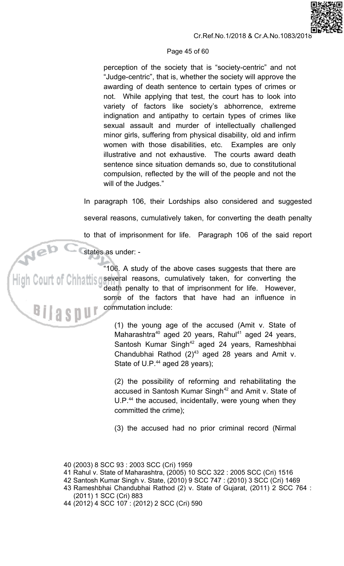

## Page 45 of 60

perception of the society that is "society-centric" and not "Judge-centric", that is, whether the society will approve the awarding of death sentence to certain types of crimes or not. While applying that test, the court has to look into variety of factors like society's abhorrence, extreme indignation and antipathy to certain types of crimes like sexual assault and murder of intellectually challenged minor girls, suffering from physical disability, old and infirm women with those disabilities, etc. Examples are only illustrative and not exhaustive. The courts award death sentence since situation demands so, due to constitutional compulsion, reflected by the will of the people and not the will of the Judges."

In paragraph 106, their Lordships also considered and suggested several reasons, cumulatively taken, for converting the death penalty to that of imprisonment for life. Paragraph 106 of the said report

states as under: -

"106. A study of the above cases suggests that there are several reasons, cumulatively taken, for converting the death penalty to that of imprisonment for life. However, some of the factors that have had an influence in commutation include:

> (1) the young age of the accused (Amit v. State of Maharashtra<sup>40</sup> aged 20 years, Rahul<sup>41</sup> aged 24 years, Santosh Kumar Singh<sup>42</sup> aged 24 years, Rameshbhai Chandubhai Rathod  $(2)^{43}$  aged 28 years and Amit v. State of U.P.<sup>44</sup> aged 28 years);

> (2) the possibility of reforming and rehabilitating the accused in Santosh Kumar Singh<sup>42</sup> and Amit v. State of U.P.<sup>44</sup> the accused, incidentally, were young when they committed the crime);

> (3) the accused had no prior criminal record (Nirmal

- 41 Rahul v. State of Maharashtra, (2005) 10 SCC 322 : 2005 SCC (Cri) 1516
- 42 Santosh Kumar Singh v. State, (2010) 9 SCC 747 : (2010) 3 SCC (Cri) 1469
- 43 Rameshbhai Chandubhai Rathod (2) v. State of Gujarat, (2011) 2 SCC 764 : (2011) 1 SCC (Cri) 883
- 44 (2012) 4 SCC 107 : (2012) 2 SCC (Cri) 590

<sup>40 (2003) 8</sup> SCC 93 : 2003 SCC (Cri) 1959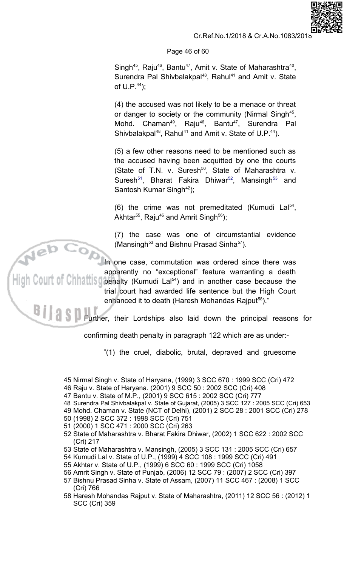## Page 46 of 60

Singh<sup>45</sup>, Raju<sup>46</sup>, Bantu<sup>47</sup>, Amit v. State of Maharashtra<sup>40</sup>, Surendra Pal Shivbalakpal<sup>48</sup>, Rahul<sup>41</sup> and Amit v. State of  $U.P.^44$ );

(4) the accused was not likely to be a menace or threat or danger to society or the community (Nirmal Singh<sup>45</sup>, Mohd. Chaman<sup>49</sup>, Raju<sup>46</sup>, Bantu<sup>47</sup>, Surendra Pal Shivbalakpal<sup>48</sup>, Rahul<sup>41</sup> and Amit v. State of U.P.<sup>44</sup>).

(5) a few other reasons need to be mentioned such as the accused having been acquitted by one the courts (State of T.N. v. Suresh<sup>50</sup>, State of Maharashtra v. Suresh<sup>51</sup>, Bharat Fakira Dhiwar<sup>52</sup>, Mansingh<sup>53</sup> and Santosh Kumar Singh<sup>42</sup>);

(6) the crime was not premeditated (Kumudi La $154$ , Akhtar<sup>55</sup>, Raju<sup>46</sup> and Amrit Singh<sup>56</sup>);

(7) the case was one of circumstantial evidence (Mansingh<sup>53</sup> and Bishnu Prasad Sinha<sup>57</sup>).

In one case, commutation was ordered since there was apparently no "exceptional" feature warranting a death penalty (Kumudi Lal<sup>54</sup>) and in another case because the trial court had awarded life sentence but the High Court

enhanced it to death (Haresh Mohandas Rajput<sup>58</sup>)."

Further, their Lordships also laid down the principal reasons for

confirming death penalty in paragraph 122 which are as under:-

"(1) the cruel, diabolic, brutal, depraved and gruesome

45 Nirmal Singh v. State of Haryana, (1999) 3 SCC 670 : 1999 SCC (Cri) 472

- 46 Raju v. State of Haryana. (2001) 9 SCC 50: 2002 SCC (Cri) 408
- 47 Bantu v. State of M.P., (2001) 9 SCC 615 : 2002 SCC (Cri) 777
- 48 Surendra Pal Shivbalakpal v. State of Gujarat, (2005) 3 SCC 127 : 2005 SCC (Cri) 653
- 49 Mohd. Chaman v. State (NCT of Delhi), (2001) 2 SCC 28 : 2001 SCC (Cri) 278
- 50 (1998) 2 SCC 372: 1998 SCC (Cri) 751
- 51 (2000) 1 SCC 471 : 2000 SCC (Cri) 263
- 52 State of Maharashtra v. Bharat Fakira Dhiwar, (2002) 1 SCC 622 : 2002 SCC (Cri) 217
- 53 State of Maharashtra v. Mansingh, (2005) 3 SCC 131 : 2005 SCC (Cri) 657
- 54 Kumudi Lal v. State of U.P., (1999) 4 SCC 108 : 1999 SCC (Cri) 491
- 55 Akhtar v. State of U.P., (1999) 6 SCC 60 : 1999 SCC (Cri) 1058
- 56 Amrit Singh v. State of Punjab, (2006) 12 SCC 79: (2007) 2 SCC (Cri) 397
- 57 Bishnu Prasad Sinha v. State of Assam, (2007) 11 SCC 467 : (2008) 1 SCC (Cri) 766
- 58 Haresh Mohandas Rajput v. State of Maharashtra, (2011) 12 SCC 56 : (2012) 1 **SCC (Cri) 359**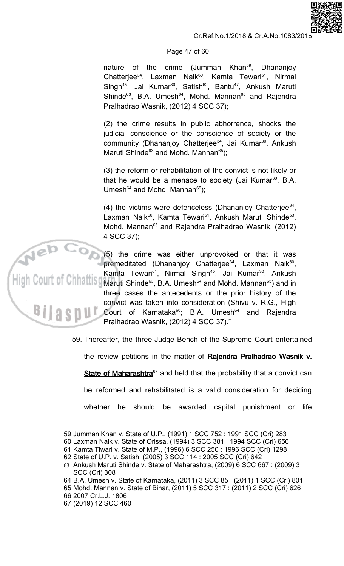### Page 47 of 60

nature of the crime (Jumman Khan<sup>59</sup>, Dhananjoy Chatterjee<sup>34</sup>, Laxman Naik<sup>60</sup>, Kamta Tewari<sup>61</sup>, Nirmal Singh<sup>45</sup>, Jai Kumar<sup>30</sup>, Satish<sup>62</sup>, Bantu<sup>47</sup>, Ankush Maruti Shinde<sup>63</sup>, B.A. Umesh<sup>64</sup>, Mohd. Mannan<sup>65</sup> and Rajendra Pralhadrao Wasnik, (2012) 4 SCC 37);

(2) the crime results in public abhorrence, shocks the judicial conscience or the conscience of society or the community (Dhananjoy Chatterjee<sup>34</sup>, Jai Kumar<sup>30</sup>, Ankush Maruti Shinde<sup>63</sup> and Mohd. Mannan<sup>65</sup>);

(3) the reform or rehabilitation of the convict is not likely or that he would be a menace to society (Jai Kumar<sup>30</sup>, B.A. Umesh<sup>64</sup> and Mohd. Mannan<sup>65</sup>);

(4) the victims were defenceless (Dhananjoy Chatterjee $^{34}$ , Laxman Naik<sup>60</sup>, Kamta Tewari<sup>61</sup>, Ankush Maruti Shinde<sup>63</sup>, Mohd. Mannan<sup>65</sup> and Rajendra Pralhadrao Wasnik, (2012) 4 SCC 37):

(5) the crime was either unprovoked or that it was premeditated (Dhananjoy Chatterjee<sup>34</sup>, Laxman Naik<sup>60</sup>, Kamta Tewari<sup>61</sup>, Nirmal Singh<sup>45</sup>, Jai Kumar<sup>30</sup>, Ankush Maruti Shinde<sup>63</sup>, B.A. Umesh<sup>64</sup> and Mohd. Mannan<sup>65</sup>) and in three cases the antecedents or the prior history of the convict was taken into consideration (Shivu v. R.G., High Court of Karnataka<sup>66</sup>; B.A. Umesh<sup>64</sup> and Rajendra Pralhadrao Wasnik, (2012) 4 SCC 37)."

59. Thereafter, the three-Judge Bench of the Supreme Court entertained

the review petitions in the matter of Rajendra Pralhadrao Wasnik v.

State of Maharashtra<sup>67</sup> and held that the probability that a convict can

be reformed and rehabilitated is a valid consideration for deciding

whether he should be awarded capital punishment or life

- 60 Laxman Naik v. State of Orissa, (1994) 3 SCC 381: 1994 SCC (Cri) 656
- 61 Kamta Tiwari v. State of M.P., (1996) 6 SCC 250 : 1996 SCC (Cri) 1298<br>62 State of U.P. v. Satish, (2005) 3 SCC 114 : 2005 SCC (Cri) 642
- 

64 B.A. Umesh v. State of Karnataka, (2011) 3 SCC 85 : (2011) 1 SCC (Cri) 801

65 Mohd. Mannan v. State of Bihar, (2011) 5 SCC 317: (2011) 2 SCC (Cri) 626

- 66 2007 Cr.L.J. 1806
- 67 (2019) 12 SCC 460



<sup>59</sup> Jumman Khan v. State of U.P., (1991) 1 SCC 752 : 1991 SCC (Cri) 283

<sup>63</sup> Ankush Maruti Shinde v. State of Maharashtra, (2009) 6 SCC 667 : (2009) 3 **SCC (Cri) 308**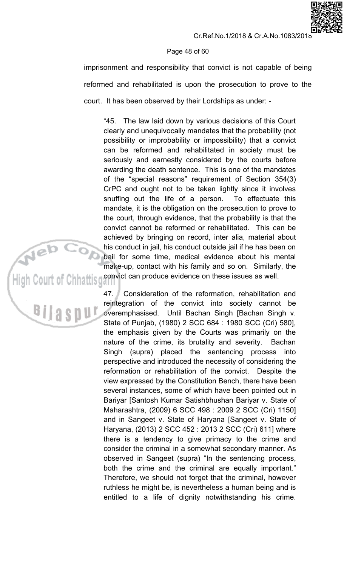# Page 48 of 60

imprisonment and responsibility that convict is not capable of being reformed and rehabilitated is upon the prosecution to prove to the court. It has been observed by their Lordships as under: -

The law laid down by various decisions of this Court "45. clearly and unequivocally mandates that the probability (not possibility or improbability or impossibility) that a convict can be reformed and rehabilitated in society must be seriously and earnestly considered by the courts before awarding the death sentence. This is one of the mandates of the "special reasons" requirement of Section 354(3) CrPC and ought not to be taken lightly since it involves snuffing out the life of a person. To effectuate this mandate, it is the obligation on the prosecution to prove to the court, through evidence, that the probability is that the convict cannot be reformed or rehabilitated. This can be achieved by bringing on record, inter alia, material about his conduct in jail, his conduct outside jail if he has been on bail for some time, medical evidence about his mental make-up, contact with his family and so on. Similarly, the convict can produce evidence on these issues as well.

Consideration of the reformation, rehabilitation and  $47.$ reintegration of the convict into society cannot be overemphasised. Until Bachan Singh [Bachan Singh v. State of Punjab, (1980) 2 SCC 684 : 1980 SCC (Cri) 580], the emphasis given by the Courts was primarily on the nature of the crime, its brutality and severity. Bachan Singh (supra) placed the sentencing process into perspective and introduced the necessity of considering the reformation or rehabilitation of the convict. Despite the view expressed by the Constitution Bench, there have been several instances, some of which have been pointed out in Bariyar [Santosh Kumar Satishbhushan Bariyar v. State of Maharashtra, (2009) 6 SCC 498 : 2009 2 SCC (Cri) 1150] and in Sangeet v. State of Haryana [Sangeet v. State of Haryana, (2013) 2 SCC 452 : 2013 2 SCC (Cri) 611] where there is a tendency to give primacy to the crime and consider the criminal in a somewhat secondary manner. As observed in Sangeet (supra) "In the sentencing process, both the crime and the criminal are equally important." Therefore, we should not forget that the criminal, however ruthless he might be, is nevertheless a human being and is entitled to a life of dignity notwithstanding his crime.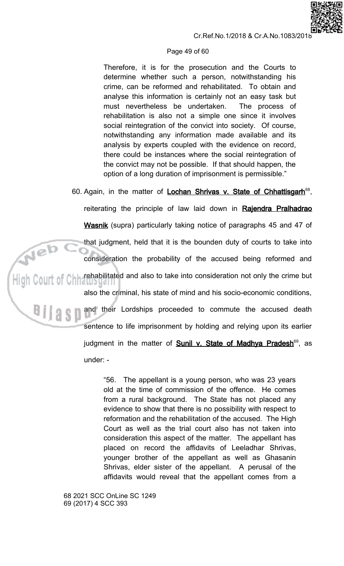

#### Page 49 of 60

Therefore, it is for the prosecution and the Courts to determine whether such a person, notwithstanding his crime, can be reformed and rehabilitated. To obtain and analyse this information is certainly not an easy task but must nevertheless be undertaken. The process of rehabilitation is also not a simple one since it involves social reintegration of the convict into society. Of course, notwithstanding any information made available and its analysis by experts coupled with the evidence on record, there could be instances where the social reintegration of the convict may not be possible. If that should happen, the option of a long duration of imprisonment is permissible."

60. Again, in the matter of Lochan Shrivas v. State of Chhattisgarh<sup>68</sup>, reiterating the principle of law laid down in Rajendra Pralhadrao Wasnik (supra) particularly taking notice of paragraphs 45 and 47 of Neb o that judgment, held that it is the bounden duty of courts to take into consideration the probability of the accused being reformed and **ALL rehabilitated and also to take into consideration not only the crime but** also the criminal, his state of mind and his socio-economic conditions, and their Lordships proceeded to commute the accused death sentence to life imprisonment by holding and relying upon its earlier judgment in the matter of **Sunil v. State of Madhya Pradesh**<sup>69</sup>, as under: -

> "56. The appellant is a young person, who was 23 years old at the time of commission of the offence. He comes from a rural background. The State has not placed any evidence to show that there is no possibility with respect to reformation and the rehabilitation of the accused. The High Court as well as the trial court also has not taken into consideration this aspect of the matter. The appellant has placed on record the affidavits of Leeladhar Shrivas, younger brother of the appellant as well as Ghasanin Shrivas, elder sister of the appellant. A perusal of the affidavits would reveal that the appellant comes from a

68 2021 SCC OnLine SC 1249 69 (2017) 4 SCC 393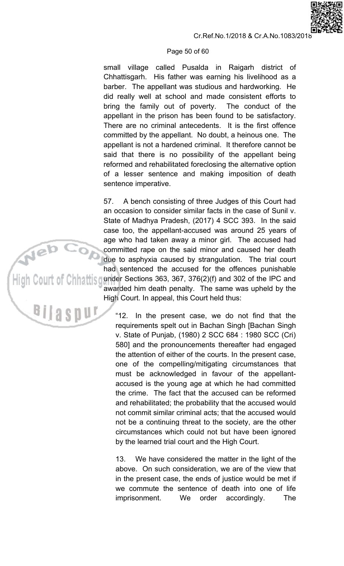#### Page 50 of 60

small village called Pusalda in Raigarh district of Chhattisgarh. His father was earning his livelihood as a barber. The appellant was studious and hardworking. He did really well at school and made consistent efforts to bring the family out of poverty. The conduct of the appellant in the prison has been found to be satisfactory. There are no criminal antecedents. It is the first offence committed by the appellant. No doubt, a heinous one. The appellant is not a hardened criminal. It therefore cannot be said that there is no possibility of the appellant being reformed and rehabilitated foreclosing the alternative option of a lesser sentence and making imposition of death sentence imperative.

A bench consisting of three Judges of this Court had 57. an occasion to consider similar facts in the case of Sunil v. State of Madhya Pradesh, (2017) 4 SCC 393. In the said case too, the appellant-accused was around 25 years of age who had taken away a minor girl. The accused had committed rape on the said minor and caused her death due to asphyxia caused by strangulation. The trial court had sentenced the accused for the offences punishable under Sections 363, 367, 376(2)(f) and 302 of the IPC and awarded him death penalty. The same was upheld by the High Court. In appeal, this Court held thus:

> $"12.$ In the present case, we do not find that the requirements spelt out in Bachan Singh [Bachan Singh v. State of Punjab, (1980) 2 SCC 684 : 1980 SCC (Cri) 580] and the pronouncements thereafter had engaged the attention of either of the courts. In the present case, one of the compelling/mitigating circumstances that must be acknowledged in favour of the appellantaccused is the young age at which he had committed the crime. The fact that the accused can be reformed and rehabilitated; the probability that the accused would not commit similar criminal acts; that the accused would not be a continuing threat to the society, are the other circumstances which could not but have been ignored by the learned trial court and the High Court.

> $13.$ We have considered the matter in the light of the above. On such consideration, we are of the view that in the present case, the ends of justice would be met if we commute the sentence of death into one of life imprisonment. order **We** accordingly. **The**

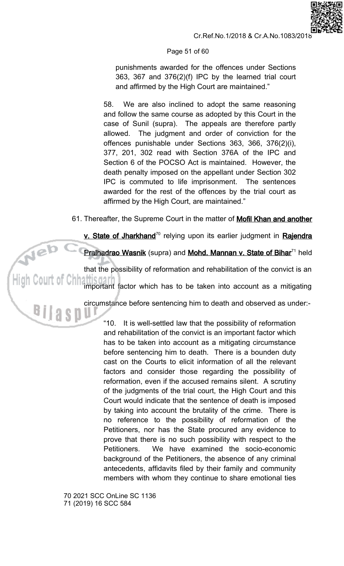

punishments awarded for the offences under Sections 363, 367 and 376(2)(f) IPC by the learned trial court and affirmed by the High Court are maintained."

58. We are also inclined to adopt the same reasoning and follow the same course as adopted by this Court in the case of Sunil (supra). The appeals are therefore partly allowed. The judgment and order of conviction for the offences punishable under Sections 363, 366, 376(2)(i), 377, 201, 302 read with Section 376A of the IPC and Section 6 of the POCSO Act is maintained. However, the death penalty imposed on the appellant under Section 302 IPC is commuted to life imprisonment. The sentences awarded for the rest of the offences by the trial court as affirmed by the High Court, are maintained."

61. Thereafter, the Supreme Court in the matter of Mofil Khan and another

v. State of Jharkhand<sup>70</sup> relying upon its earlier judgment in Rajendra

Pralhadrao Wasnik (supra) and Mohd. Mannan v. State of Bihar<sup>71</sup> held

Neb that the possibility of reformation and rehabilitation of the convict is an

important factor which has to be taken into account as a mitigating

circumstance before sentencing him to death and observed as under:-

"10. It is well-settled law that the possibility of reformation and rehabilitation of the convict is an important factor which has to be taken into account as a mitigating circumstance before sentencing him to death. There is a bounden duty cast on the Courts to elicit information of all the relevant factors and consider those regarding the possibility of reformation, even if the accused remains silent. A scrutiny of the judgments of the trial court, the High Court and this Court would indicate that the sentence of death is imposed by taking into account the brutality of the crime. There is no reference to the possibility of reformation of the Petitioners, nor has the State procured any evidence to prove that there is no such possibility with respect to the Petitioners. We have examined the socio-economic background of the Petitioners, the absence of any criminal antecedents, affidavits filed by their family and community members with whom they continue to share emotional ties

70 2021 SCC OnLine SC 1136 71 (2019) 16 SCC 584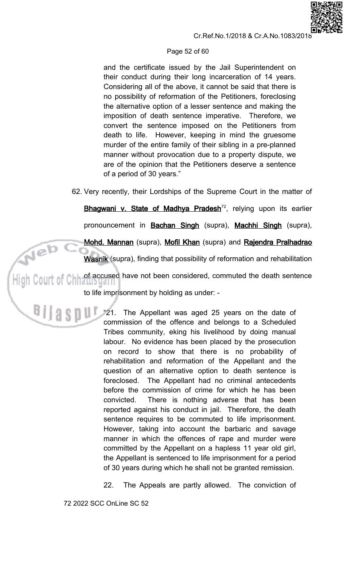

## Page 52 of 60

and the certificate issued by the Jail Superintendent on their conduct during their long incarceration of 14 years. Considering all of the above, it cannot be said that there is no possibility of reformation of the Petitioners, foreclosing the alternative option of a lesser sentence and making the imposition of death sentence imperative. Therefore, we convert the sentence imposed on the Petitioners from death to life. However, keeping in mind the gruesome murder of the entire family of their sibling in a pre-planned manner without provocation due to a property dispute, we are of the opinion that the Petitioners deserve a sentence of a period of 30 years."

62. Very recently, their Lordships of the Supreme Court in the matter of

Bhagwani v. State of Madhya Pradesh<sup>72</sup>, relying upon its earlier

pronouncement in **Bachan Singh** (supra), Machhi Singh (supra),

Mohd. Mannan (supra), Mofil Khan (supra) and Rajendra Pralhadrao

Wasnik (supra), finding that possibility of reformation and rehabilitation

High Court of Chinati Syamu have not been considered, commuted the death sentence

to life imprisonment by holding as under: -

18 21. The Appellant was aged 25 years on the date of commission of the offence and belongs to a Scheduled Tribes community, eking his livelihood by doing manual labour. No evidence has been placed by the prosecution on record to show that there is no probability of rehabilitation and reformation of the Appellant and the question of an alternative option to death sentence is The Appellant had no criminal antecedents foreclosed. before the commission of crime for which he has been There is nothing adverse that has been convicted. reported against his conduct in jail. Therefore, the death sentence requires to be commuted to life imprisonment. However, taking into account the barbaric and savage manner in which the offences of rape and murder were committed by the Appellant on a hapless 11 year old girl, the Appellant is sentenced to life imprisonment for a period of 30 years during which he shall not be granted remission.

> The Appeals are partly allowed. The conviction of 22.

72 2022 SCC OnLine SC 52

Neb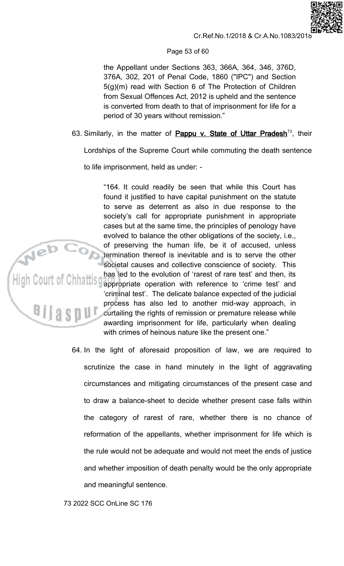

## Page 53 of 60

the Appellant under Sections 363, 366A, 364, 346, 376D, 376A, 302, 201 of Penal Code, 1860 ("IPC") and Section  $5(q)(m)$  read with Section 6 of The Protection of Children from Sexual Offences Act, 2012 is upheld and the sentence is converted from death to that of imprisonment for life for a period of 30 years without remission."

63. Similarly, in the matter of **Pappu v. State of Uttar Pradesh**<sup>73</sup>, their

Lordships of the Supreme Court while commuting the death sentence

to life imprisonment, held as under: -

"164. It could readily be seen that while this Court has found it justified to have capital punishment on the statute to serve as deterrent as also in due response to the society's call for appropriate punishment in appropriate cases but at the same time, the principles of penology have evolved to balance the other obligations of the society, i.e., of preserving the human life, be it of accused, unless termination thereof is inevitable and is to serve the other societal causes and collective conscience of society. This has led to the evolution of 'rarest of rare test' and then, its appropriate operation with reference to 'crime test' and 'criminal test'. The delicate balance expected of the judicial process has also led to another mid-way approach, in curtailing the rights of remission or premature release while awarding imprisonment for life, particularly when dealing with crimes of heinous nature like the present one."

64. In the light of aforesaid proposition of law, we are required to scrutinize the case in hand minutely in the light of aggravating circumstances and mitigating circumstances of the present case and to draw a balance-sheet to decide whether present case falls within the category of rarest of rare, whether there is no chance of reformation of the appellants, whether imprisonment for life which is the rule would not be adequate and would not meet the ends of justice and whether imposition of death penalty would be the only appropriate and meaningful sentence.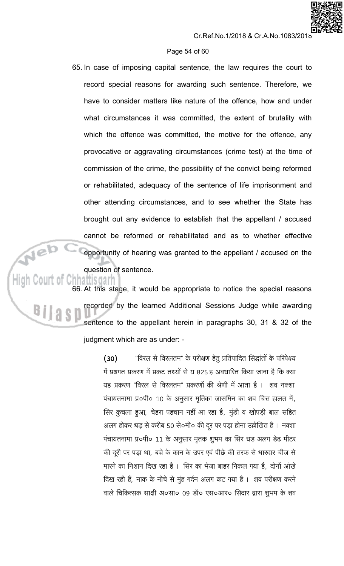#### Page 54 of 60

65. In case of imposing capital sentence, the law requires the court to record special reasons for awarding such sentence. Therefore, we have to consider matters like nature of the offence, how and under what circumstances it was committed, the extent of brutality with which the offence was committed, the motive for the offence, any provocative or aggravating circumstances (crime test) at the time of commission of the crime, the possibility of the convict being reformed or rehabilitated, adequacy of the sentence of life imprisonment and other attending circumstances, and to see whether the State has brought out any evidence to establish that the appellant / accused cannot be reformed or rehabilitated and as to whether effective opportunity of hearing was granted to the appellant / accused on the question of sentence.

<u>matusgarn</u> 66. At this stage, it would be appropriate to notice the special reasons recorded by the learned Additional Sessions Judge while awarding sentence to the appellant herein in paragraphs 30, 31 & 32 of the judgment which are as under: -

> "विरल से विरलतम" के परीक्षण हेतु प्रतिपादित सिद्धांतों के परिपेक्ष्य  $(30)$ में प्रश्नगत प्रकरण में प्रकट तथ्यों से य 825 हू अवधारित किया जाना है कि क्या यह प्रकरण "विरल से विरलतम" प्रकरणों की श्रेणी में आता है । शव नक्शा पंचायतनामा प्र०पी० 10 के अनुसार मृतिका जासमिन का शव चित्त हालत में, सिर कुचला हुआ, चेहरा पहचान नहीं आ रहा है, मुंडी व खोपड़ी बाल सहित अलग होकर धड़ से करीब 50 से०मी० की दूर पर पड़ा होना उल्लेखित है। नक्शा पंचायतनामा प्र०पी० 11 के अनुसार मृतक शुभम का सिर धड़ अलग डेढ मीटर की दूरी पर पड़ा था, बच्चे के कान के उपर एवं पीछे की तरफ से धारदार चीज से मारने का निशान दिख रहा है । सिर का भेजा बाहर निकल गया है, दोनों आंखे दिख रही हैं, नाक के नीचे से मुंह गर्दन अलग कट गया है । शव परीक्षण करने वाले चिकित्सक साक्षी अ०सा० 09 डॉ० एस०आर० सिदार द्वारा शुभम के शव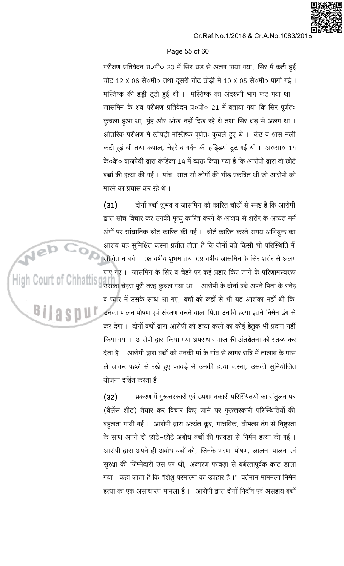

# Page 55 of 60

परीक्षण प्रतिवेदन प्र०पी० 20 में सिर धड़ से अलग पाया गया, सिर में कटी हुई चोट 12 X 06 से०मी० तथा दूसरी चोट ठोड़ी में 10 X 05 से०मी० पायी गई। मस्तिष्क की हड्डी टूटी हुई थी । मस्तिष्क का अंदरूनी भाग फट गया था । जासमिन के शव परीक्षण प्रतिवेदन प्र०पी० 21 में बताया गया कि सिर पूर्णतः कूचला हुआ था, मुंह और आंख नहीं दिख रहे थे तथा सिर धड़ से अलग था । आंतरिक परीक्षण में खोपड़ी मस्तिष्क पूर्णतः कुचले हुए थे। कंठ व श्वास नली कटी हुई थी तथा कपाल, चेहरे व गर्दन की हड़िडयां टूट गई थी। अ०सा० 14 के०के० वाजपेयी द्वारा कंडिका 14 में व्यक्त किया गया है कि आरोपी द्वारा दो छोटे बच्चों की हत्या की गई। पांच–सात सौ लोगों की भीड़ एकत्रित थी जो आरोपी को मारने का प्रयास कर रहे थे ।

 $(31)$ दोनों बच्चों शुभव व जासमिन को कारित चोटों से स्पष्ट है कि आरोपी द्वारा सोच विचार कर उनकी मृत्यू कारित करने के आशय से शरीर के अत्यंत मर्म अंगों पर सांघातिक चोट कारित की गई । चोटें कारित करते समय अभियुक्त का आशय यह सुनिश्चित करना प्रतीत होता है कि दोनों बच्चे किसी भी परिस्थिति में जीवित न बचें । 08 वर्षीय शुभम तथा 09 वर्षीय जासमिन के सिर शरीर से अलग पाए गए । जासमिन के सिर व चेहरे पर कई प्रहार किए जाने के परिणामस्वरूप उसका चेहरा पूरी तरह कुचल गया था । आरोपी के दोनों बच्चे अपने पिता के स्नेह व प्यार में उसके साथ आ गए, बच्चों को कहीं से भी यह आशंका नहीं थी कि उनका पालन पोषण एवं संरक्षण करने वाला पिता उनकी हत्या इतने निर्मम ढंग से कर देगा । दोनों बच्चों द्वारा आरोपी को हत्या करने का कोई हेतुक भी प्रदान नहीं किया गया । आरोपी द्वारा किया गया अपराध समाज की अंतश्वेतना को स्तब्ध कर देता है । आरोपी द्वारा बच्चों को उनकी मां के गांव से लागर रात्रि में तालाब के पास ले जाकर पहले से रखे हुए फावड़े से उनकी हत्या करना, उसकी सुनियोजित योजना दर्शित करता है ।

High Court of Chhattisg

प्रकरण में गुरूत्तरकारी एवं उपशमनकारी परिस्थितयों का संतुलन पत्र  $(32)$ (बैलेंस शीट) तैयार कर विचार किए जाने पर गुरूत्तरकारी परिस्थितियों की बहूलता पायी गई । आरोपी द्वारा अत्यंत क्रूर, पाशविक, वीभत्स ढंग से निष्ठुरता के साथ अपने दो छोटे–छोटे अबोध बच्चों की फावड़ा से निर्मम हत्या की गई । आरोपी द्वारा अपने ही अबोध बच्चों को, जिनके भरण–पोषण, लालन–पालन एवं सुरक्षा की जिम्मेदारी उस पर थी, अकारण फावड़ा से बर्बरतापूर्वक काट डाला गया। कहा जाता है कि "शिशु परमात्मा का उपहार है ।" वर्तमान माममला निर्मम हत्या का एक असाधारण मामला है । आरोपी द्वारा दोनों निर्दोष एवं असहाय बच्चों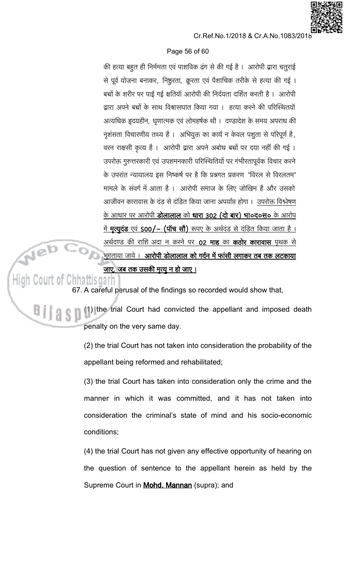

# Page 56 of 60

की हत्या बहूत ही निर्ममता एवं पाशविक ढंग से की गई है। आरोपी द्वारा चतुराई से पूर्व योजना बनाकर, निष्ठुरता, क्रूरता एवं पैशाचिक तरीके से हत्या की गई। बच्चों के शरीर पर पाई गई क्षतियाँ आरोपी की निर्दयता दर्शित करती है। आरोपी द्वारा अपने बच्चों के साथ विश्वासघात किया गया । हत्या करने की परिस्थितयॉ अत्यधिक हृदयहीन, घृणात्मक एवं लोमहर्षक थी । दण्डादेश के समय अपराध की नृशंसता विचारणीय तथ्य है । अभियुक्त का कार्य न केवल पशुता से परिपूर्ण है, वरन राक्षसी कृत्य है । आरोपी द्वारा अपने अबोध बच्चों पर दया नहीं की गई । उपरोक्त गुरुत्तरकारी एवं उपशमनकारी परिस्थितियों पर गंभीरतापूर्वक विचार करने के उपरांत न्यायालय इस निष्कर्ष पर है कि प्रश्नगत प्रकरण "विरल से विरलतम" मामले के संवर्ग में आता है । आरोपी समाज के लिए जोखिम है और उसको आजीवन कारावास के दंड से दंडित किया जाना अपर्याप्त होगा। उपरोक्त विश्लेषण के आधार पर आरोपी **डोलालाल** को **धारा 302 (दो बार) भा०द०स०** के आरोप <u>में **मृत्यूदंड** एवं 500/– (पॉच सौ) रूपए के अर्थदंड से दंडित किया जाता है ।</u> <u>अर्थदण्ड की राशि अदा न करने पर 02 माह का कठोर कारावास पृथक से </u> <u>भुगताया जावे । आरोपी डोलालाल को गर्दन में फांसी लगाकर तब तक लटकाया</u> <u>जाए, जब तक उसकी मृत्यू न हो जाए ।</u>

# High Court of Chhattisgarh

67. A careful perusal of the findings so recorded would show that,

(1) the trial Court had convicted the appellant and imposed death penalty on the very same day.

> (2) the trial Court has not taken into consideration the probability of the appellant being reformed and rehabilitated;

> (3) the trial Court has taken into consideration only the crime and the manner in which it was committed, and it has not taken into consideration the criminal's state of mind and his socio-economic conditions:

> (4) the trial Court has not given any effective opportunity of hearing on the question of sentence to the appellant herein as held by the Supreme Court in **Mohd. Mannan** (supra); and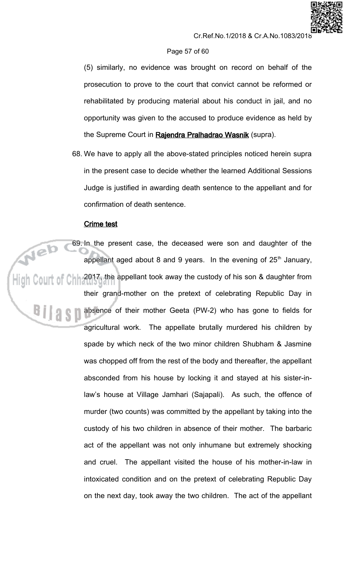## Page 57 of 60

(5) similarly, no evidence was brought on record on behalf of the prosecution to prove to the court that convict cannot be reformed or rehabilitated by producing material about his conduct in jail, and no opportunity was given to the accused to produce evidence as held by the Supreme Court in Rajendra Pralhadrao Wasnik (supra).

68. We have to apply all the above-stated principles noticed herein supra in the present case to decide whether the learned Additional Sessions Judge is justified in awarding death sentence to the appellant and for confirmation of death sentence.

# **Crime test**

69. In the present case, the deceased were son and daughter of the appellant aged about 8 and 9 years. In the evening of 25<sup>th</sup> January,  $\mathop{\mathop{\parallel}}\nolimits$   $\mathop{\mathbb{C}}\nolimits$   $\mathop{\mathbb{C}}\nolimits$   $\mathop{\mathbb{C}}\nolimits$   $\mathop{\mathbb{C}}\nolimits$   $\mathop{\mathbb{C}}\nolimits$   $\mathop{\mathbb{C}}\nolimits$   $\mathop{\mathbb{C}}\nolimits$   $\mathop{\mathbb{C}}\nolimits$   $\mathop{\mathbb{C}}\nolimits$   $\mathop{\mathbb{C}}\nolimits$  are appellant took away the custody of his so their grand-mother on the pretext of celebrating Republic Day in absence of their mother Geeta (PW-2) who has gone to fields for agricultural work. The appellate brutally murdered his children by spade by which neck of the two minor children Shubham & Jasmine was chopped off from the rest of the body and thereafter, the appellant absconded from his house by locking it and stayed at his sister-inlaw's house at Village Jamhari (Sajapali). As such, the offence of murder (two counts) was committed by the appellant by taking into the custody of his two children in absence of their mother. The barbaric act of the appellant was not only inhumane but extremely shocking and cruel. The appellant visited the house of his mother-in-law in intoxicated condition and on the pretext of celebrating Republic Day on the next day, took away the two children. The act of the appellant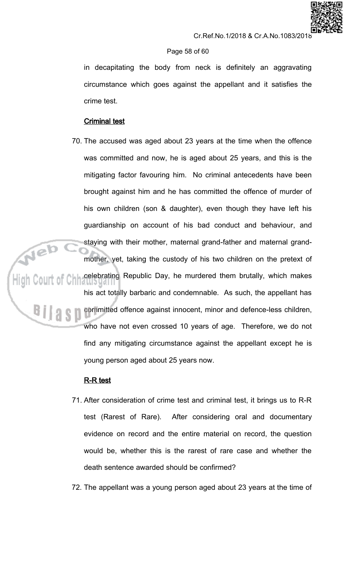# Cr.Ref.No.1/2018 & Cr.A.No.1083/201

# Page 58 of 60

in decapitating the body from neck is definitely an aggravating circumstance which goes against the appellant and it satisfies the crime test.

# **Criminal test**

70. The accused was aged about 23 years at the time when the offence was committed and now, he is aged about 25 years, and this is the mitigating factor favouring him. No criminal antecedents have been brought against him and he has committed the offence of murder of his own children (son & daughter), even though they have left his guardianship on account of his bad conduct and behaviour, and staying with their mother, maternal grand-father and maternal grandmother, yet, taking the custody of his two children on the pretext of ,<br>High Court of Chh celebrating Republic Day, he murdered them brutally, which makes his act totally barbaric and condemnable. As such, the appellant has committed offence against innocent, minor and defence-less children, who have not even crossed 10 years of age. Therefore, we do not find any mitigating circumstance against the appellant except he is young person aged about 25 years now.

# **R-R test**

- 71. After consideration of crime test and criminal test, it brings us to R-R test (Rarest of Rare). After considering oral and documentary evidence on record and the entire material on record, the question would be, whether this is the rarest of rare case and whether the death sentence awarded should be confirmed?
- 72. The appellant was a young person aged about 23 years at the time of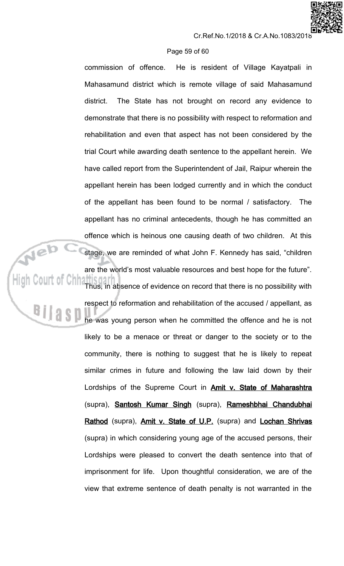## Page 59 of 60

commission of offence. He is resident of Village Kayatpali in Mahasamund district which is remote village of said Mahasamund The State has not brought on record any evidence to district. demonstrate that there is no possibility with respect to reformation and rehabilitation and even that aspect has not been considered by the trial Court while awarding death sentence to the appellant herein. We have called report from the Superintendent of Jail, Raipur wherein the appellant herein has been lodged currently and in which the conduct of the appellant has been found to be normal / satisfactory. The appellant has no criminal antecedents, though he has committed an offence which is heinous one causing death of two children. At this stage, we are reminded of what John F. Kennedy has said, "children are the world's most valuable resources and best hope for the future". Thus, in absence of evidence on record that there is no possibility with respect to reformation and rehabilitation of the accused / appellant, as he was young person when he committed the offence and he is not likely to be a menace or threat or danger to the society or to the community, there is nothing to suggest that he is likely to repeat similar crimes in future and following the law laid down by their Lordships of the Supreme Court in **Amit v. State of Maharashtra** (supra), **Santosh Kumar Singh** (supra), Rameshbhai Chandubhai Rathod (supra), Amit v. State of U.P. (supra) and Lochan Shrivas (supra) in which considering young age of the accused persons, their Lordships were pleased to convert the death sentence into that of

imprisonment for life. Upon thoughtful consideration, we are of the view that extreme sentence of death penalty is not warranted in the